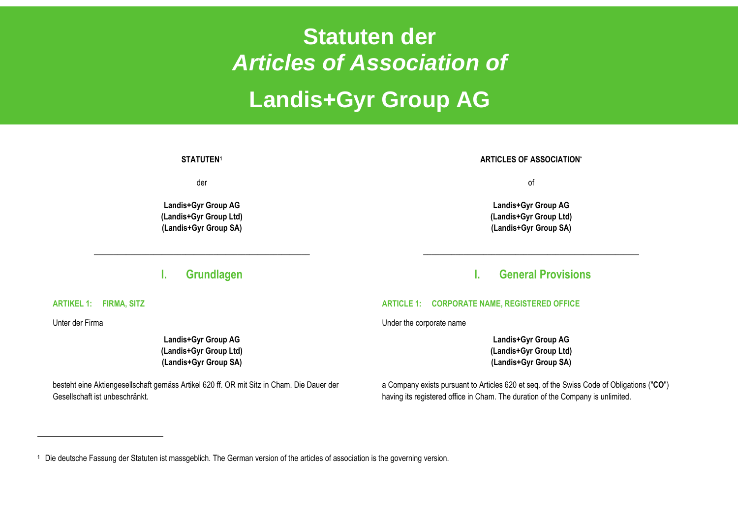# **Statuten der**  *Articles of Association of* **Landis+Gyr Group AG**

#### **STATUTEN<sup>1</sup>**

der

**Landis+Gyr Group AG (Landis+Gyr Group Ltd) (Landis+Gyr Group SA)**

### **I. Grundlagen**

**\_\_\_\_\_\_\_\_\_\_\_\_\_\_\_\_\_\_\_\_\_\_\_\_\_\_\_\_\_\_\_\_\_\_\_\_\_\_\_\_\_\_\_\_\_\_\_\_\_\_\_\_\_\_**

**ARTICLES OF ASSOCIATION\***

of

**Landis+Gyr Group AG (Landis+Gyr Group Ltd) (Landis+Gyr Group SA)**

### **I. General Provisions**

**\_\_\_\_\_\_\_\_\_\_\_\_\_\_\_\_\_\_\_\_\_\_\_\_\_\_\_\_\_\_\_\_\_\_\_\_\_\_\_\_\_\_\_\_\_\_\_\_\_\_\_\_\_\_**

#### **ARTICLE 1: CORPORATE NAME, REGISTERED OFFICE**

Under the corporate name

**Landis+Gyr Group AG (Landis+Gyr Group Ltd) (Landis+Gyr Group SA)**

a Company exists pursuant to Articles 620 et seq. of the Swiss Code of Obligations ("**CO**") having its registered office in Cham. The duration of the Company is unlimited.

**ARTIKEL 1: FIRMA, SITZ** 

Unter der Firma

**Landis+Gyr Group AG (Landis+Gyr Group Ltd) (Landis+Gyr Group SA)**

besteht eine Aktiengesellschaft gemäss Artikel 620 ff. OR mit Sitz in Cham. Die Dauer der Gesellschaft ist unbeschränkt.

<sup>1</sup> Die deutsche Fassung der Statuten ist massgeblich. The German version of the articles of association is the governing version.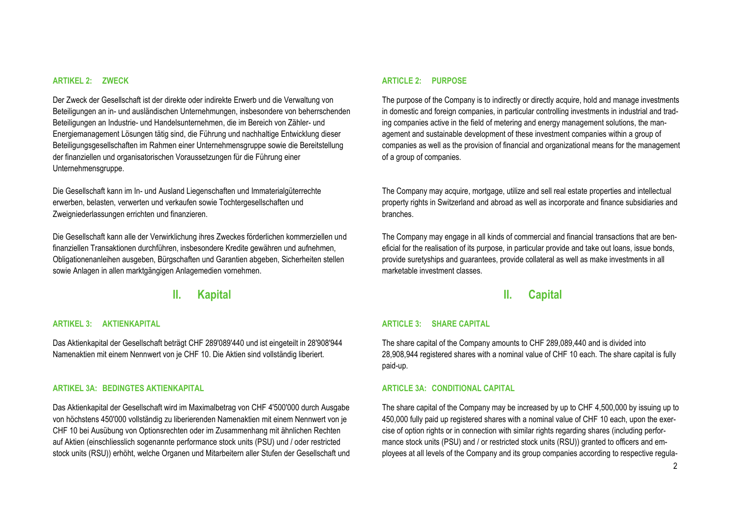#### **ARTIKEL 2: ZWECK**

Der Zweck der Gesellschaft ist der direkte oder indirekte Erwerb und die Verwaltung von Beteiligungen an in- und ausländischen Unternehmungen, insbesondere von beherrschenden Beteiligungen an Industrie- und Handelsunternehmen, die im Bereich von Zähler- und Energiemanagement Lösungen tätig sind, die Führung und nachhaltige Entwicklung dieser Beteiligungsgesellschaften im Rahmen einer Unternehmensgruppe sowie die Bereitstellung der finanziellen und organisatorischen Voraussetzungen für die Führung einer Unternehmensgruppe.

Die Gesellschaft kann im In- und Ausland Liegenschaften und Immaterialgüterrechte erwerben, belasten, verwerten und verkaufen sowie Tochtergesellschaften und Zweigniederlassungen errichten und finanzieren.

Die Gesellschaft kann alle der Verwirklichung ihres Zweckes förderlichen kommerziellen und finanziellen Transaktionen durchführen, insbesondere Kredite gewähren und aufnehmen, Obligationenanleihen ausgeben, Bürgschaften und Garantien abgeben, Sicherheiten stellen sowie Anlagen in allen marktgängigen Anlagemedien vornehmen.

### **II. Kapital**

#### **ARTIKEL 3: AKTIENKAPITAL**

Das Aktienkapital der Gesellschaft beträgt CHF 289'089'440 und ist eingeteilt in 28'908'944 Namenaktien mit einem Nennwert von je CHF 10. Die Aktien sind vollständig liberiert.

#### **ARTIKEL 3A: BEDINGTES AKTIENKAPITAL**

Das Aktienkapital der Gesellschaft wird im Maximalbetrag von CHF 4'500'000 durch Ausgabe von höchstens 450'000 vollständig zu liberierenden Namenaktien mit einem Nennwert von je CHF 10 bei Ausübung von Optionsrechten oder im Zusammenhang mit ähnlichen Rechten auf Aktien (einschliesslich sogenannte performance stock units (PSU) und / oder restricted stock units (RSU)) erhöht, welche Organen und Mitarbeitern aller Stufen der Gesellschaft und

#### **ARTICLE 2: PURPOSE**

The purpose of the Company is to indirectly or directly acquire, hold and manage investments in domestic and foreign companies, in particular controlling investments in industrial and trading companies active in the field of metering and energy management solutions, the management and sustainable development of these investment companies within a group of companies as well as the provision of financial and organizational means for the management of a group of companies.

The Company may acquire, mortgage, utilize and sell real estate properties and intellectual property rights in Switzerland and abroad as well as incorporate and finance subsidiaries and branches.

The Company may engage in all kinds of commercial and financial transactions that are beneficial for the realisation of its purpose, in particular provide and take out loans, issue bonds, provide suretyships and guarantees, provide collateral as well as make investments in all marketable investment classes.

### **II. Capital**

#### **ARTICLE 3: SHARE CAPITAL**

The share capital of the Company amounts to CHF 289,089,440 and is divided into 28,908,944 registered shares with a nominal value of CHF 10 each. The share capital is fully paid-up.

#### **ARTICLE 3A: CONDITIONAL CAPITAL**

The share capital of the Company may be increased by up to CHF 4,500,000 by issuing up to 450,000 fully paid up registered shares with a nominal value of CHF 10 each, upon the exercise of option rights or in connection with similar rights regarding shares (including performance stock units (PSU) and / or restricted stock units (RSU)) granted to officers and employees at all levels of the Company and its group companies according to respective regula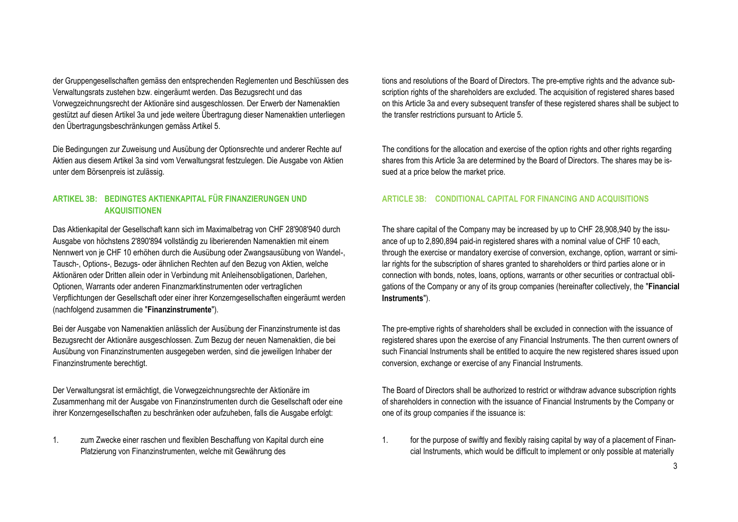der Gruppengesellschaften gemäss den entsprechenden Reglementen und Beschlüssen des Verwaltungsrats zustehen bzw. eingeräumt werden. Das Bezugsrecht und das Vorwegzeichnungsrecht der Aktionäre sind ausgeschlossen. Der Erwerb der Namenaktien gestützt auf diesen Artikel 3a und jede weitere Übertragung dieser Namenaktien unterliegen den Übertragungsbeschränkungen gemäss Artikel 5.

Die Bedingungen zur Zuweisung und Ausübung der Optionsrechte und anderer Rechte auf Aktien aus diesem Artikel 3a sind vom Verwaltungsrat festzulegen. Die Ausgabe von Aktien unter dem Börsenpreis ist zulässig.

### **ARTIKEL 3B: BEDINGTES AKTIENKAPITAL FÜR FINANZIERUNGEN UND AKQUISITIONEN**

Das Aktienkapital der Gesellschaft kann sich im Maximalbetrag von CHF 28'908'940 durch Ausgabe von höchstens 2'890'894 vollständig zu liberierenden Namenaktien mit einem Nennwert von je CHF 10 erhöhen durch die Ausübung oder Zwangsausübung von Wandel-, Tausch-, Options-, Bezugs- oder ähnlichen Rechten auf den Bezug von Aktien, welche Aktionären oder Dritten allein oder in Verbindung mit Anleihensobligationen, Darlehen, Optionen, Warrants oder anderen Finanzmarktinstrumenten oder vertraglichen Verpflichtungen der Gesellschaft oder einer ihrer Konzerngesellschaften eingeräumt werden (nachfolgend zusammen die "**Finanzinstrumente**").

Bei der Ausgabe von Namenaktien anlässlich der Ausübung der Finanzinstrumente ist das Bezugsrecht der Aktionäre ausgeschlossen. Zum Bezug der neuen Namenaktien, die bei Ausübung von Finanzinstrumenten ausgegeben werden, sind die jeweiligen Inhaber der Finanzinstrumente berechtigt.

Der Verwaltungsrat ist ermächtigt, die Vorwegzeichnungsrechte der Aktionäre im Zusammenhang mit der Ausgabe von Finanzinstrumenten durch die Gesellschaft oder eine ihrer Konzerngesellschaften zu beschränken oder aufzuheben, falls die Ausgabe erfolgt:

1. zum Zwecke einer raschen und flexiblen Beschaffung von Kapital durch eine Platzierung von Finanzinstrumenten, welche mit Gewährung des

tions and resolutions of the Board of Directors. The pre-emptive rights and the advance subscription rights of the shareholders are excluded. The acquisition of registered shares based on this Article 3a and every subsequent transfer of these registered shares shall be subject to the transfer restrictions pursuant to Article 5.

The conditions for the allocation and exercise of the option rights and other rights regarding shares from this Article 3a are determined by the Board of Directors. The shares may be issued at a price below the market price.

#### **ARTICLE 3B: CONDITIONAL CAPITAL FOR FINANCING AND ACQUISITIONS**

The share capital of the Company may be increased by up to CHF 28,908,940 by the issuance of up to 2,890,894 paid-in registered shares with a nominal value of CHF 10 each, through the exercise or mandatory exercise of conversion, exchange, option, warrant or similar rights for the subscription of shares granted to shareholders or third parties alone or in connection with bonds, notes, loans, options, warrants or other securities or contractual obligations of the Company or any of its group companies (hereinafter collectively, the "**Financial Instruments**").

The pre-emptive rights of shareholders shall be excluded in connection with the issuance of registered shares upon the exercise of any Financial Instruments. The then current owners of such Financial Instruments shall be entitled to acquire the new registered shares issued upon conversion, exchange or exercise of any Financial Instruments.

The Board of Directors shall be authorized to restrict or withdraw advance subscription rights of shareholders in connection with the issuance of Financial Instruments by the Company or one of its group companies if the issuance is:

1. for the purpose of swiftly and flexibly raising capital by way of a placement of Financial Instruments, which would be difficult to implement or only possible at materially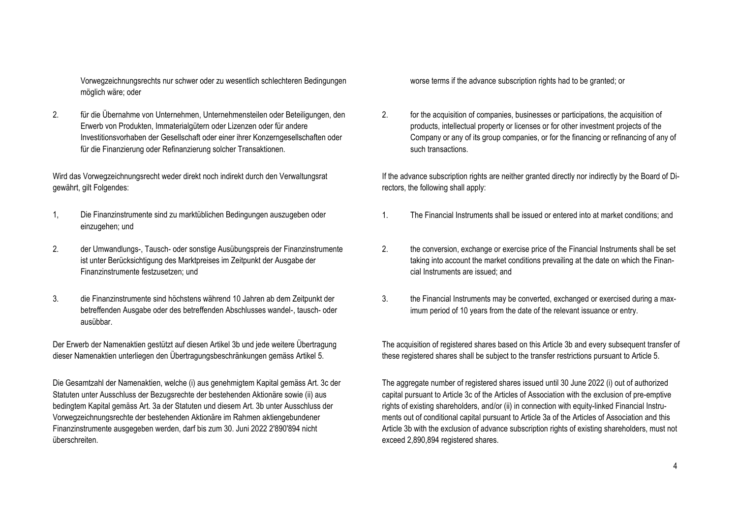Vorwegzeichnungsrechts nur schwer oder zu wesentlich schlechteren Bedingungen möglich wäre; oder

2. für die Übernahme von Unternehmen, Unternehmensteilen oder Beteiligungen, den Erwerb von Produkten, Immaterialgütern oder Lizenzen oder für andere Investitionsvorhaben der Gesellschaft oder einer ihrer Konzerngesellschaften oder für die Finanzierung oder Refinanzierung solcher Transaktionen.

Wird das Vorwegzeichnungsrecht weder direkt noch indirekt durch den Verwaltungsrat gewährt, gilt Folgendes:

- 1, Die Finanzinstrumente sind zu marktüblichen Bedingungen auszugeben oder einzugehen; und
- 2. der Umwandlungs-, Tausch- oder sonstige Ausübungspreis der Finanzinstrumente ist unter Berücksichtigung des Marktpreises im Zeitpunkt der Ausgabe der Finanzinstrumente festzusetzen; und
- 3. die Finanzinstrumente sind höchstens während 10 Jahren ab dem Zeitpunkt der betreffenden Ausgabe oder des betreffenden Abschlusses wandel-, tausch- oder ausübbar.

Der Erwerb der Namenaktien gestützt auf diesen Artikel 3b und jede weitere Übertragung dieser Namenaktien unterliegen den Übertragungsbeschränkungen gemäss Artikel 5.

Die Gesamtzahl der Namenaktien, welche (i) aus genehmigtem Kapital gemäss Art. 3c der Statuten unter Ausschluss der Bezugsrechte der bestehenden Aktionäre sowie (ii) aus bedingtem Kapital gemäss Art. 3a der Statuten und diesem Art. 3b unter Ausschluss der Vorwegzeichnungsrechte der bestehenden Aktionäre im Rahmen aktiengebundener Finanzinstrumente ausgegeben werden, darf bis zum 30. Juni 2022 2'890'894 nicht überschreiten.

worse terms if the advance subscription rights had to be granted; or

2. for the acquisition of companies, businesses or participations, the acquisition of products, intellectual property or licenses or for other investment projects of the Company or any of its group companies, or for the financing or refinancing of any of such transactions.

If the advance subscription rights are neither granted directly nor indirectly by the Board of Directors, the following shall apply:

- 1. The Financial Instruments shall be issued or entered into at market conditions; and
- 2. the conversion, exchange or exercise price of the Financial Instruments shall be set taking into account the market conditions prevailing at the date on which the Financial Instruments are issued; and
- 3. the Financial Instruments may be converted, exchanged or exercised during a maximum period of 10 years from the date of the relevant issuance or entry.

The acquisition of registered shares based on this Article 3b and every subsequent transfer of these registered shares shall be subject to the transfer restrictions pursuant to Article 5.

The aggregate number of registered shares issued until 30 June 2022 (i) out of authorized capital pursuant to Article 3c of the Articles of Association with the exclusion of pre-emptive rights of existing shareholders, and/or (ii) in connection with equity-linked Financial Instruments out of conditional capital pursuant to Article 3a of the Articles of Association and this Article 3b with the exclusion of advance subscription rights of existing shareholders, must not exceed 2,890,894 registered shares.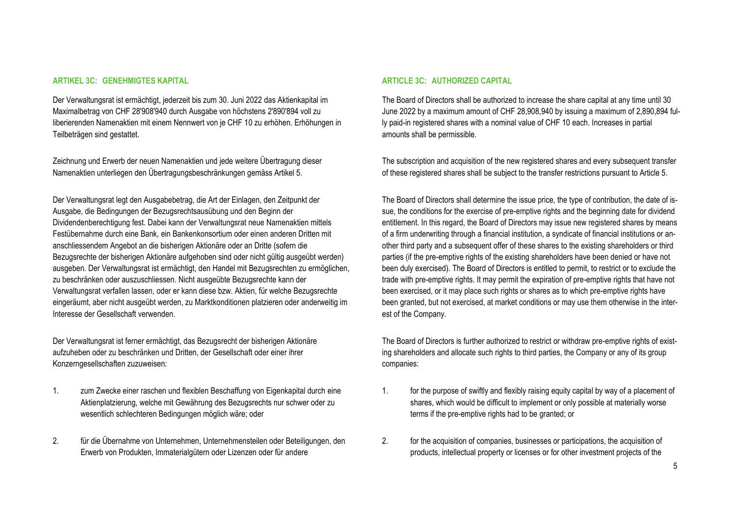#### **ARTIKEL 3C: GENEHMIGTES KAPITAL**

Der Verwaltungsrat ist ermächtigt, jederzeit bis zum 30. Juni 2022 das Aktienkapital im Maximalbetrag von CHF 28'908'940 durch Ausgabe von höchstens 2'890'894 voll zu liberierenden Namenaktien mit einem Nennwert von je CHF 10 zu erhöhen. Erhöhungen in Teilbeträgen sind gestattet.

Zeichnung und Erwerb der neuen Namenaktien und jede weitere Übertragung dieser Namenaktien unterliegen den Übertragungsbeschränkungen gemäss Artikel 5.

Der Verwaltungsrat legt den Ausgabebetrag, die Art der Einlagen, den Zeitpunkt der Ausgabe, die Bedingungen der Bezugsrechtsausübung und den Beginn der Dividendenberechtigung fest. Dabei kann der Verwaltungsrat neue Namenaktien mittels Festübernahme durch eine Bank, ein Bankenkonsortium oder einen anderen Dritten mit anschliessendem Angebot an die bisherigen Aktionäre oder an Dritte (sofern die Bezugsrechte der bisherigen Aktionäre aufgehoben sind oder nicht gültig ausgeübt werden) ausgeben. Der Verwaltungsrat ist ermächtigt, den Handel mit Bezugsrechten zu ermöglichen, zu beschränken oder auszuschliessen. Nicht ausgeübte Bezugsrechte kann der Verwaltungsrat verfallen lassen, oder er kann diese bzw. Aktien, für welche Bezugsrechte eingeräumt, aber nicht ausgeübt werden, zu Marktkonditionen platzieren oder anderweitig im Interesse der Gesellschaft verwenden.

Der Verwaltungsrat ist ferner ermächtigt, das Bezugsrecht der bisherigen Aktionäre aufzuheben oder zu beschränken und Dritten, der Gesellschaft oder einer ihrer Konzerngesellschaften zuzuweisen:

- 1. zum Zwecke einer raschen und flexiblen Beschaffung von Eigenkapital durch eine Aktienplatzierung, welche mit Gewährung des Bezugsrechts nur schwer oder zu wesentlich schlechteren Bedingungen möglich wäre; oder
- 2. für die Übernahme von Unternehmen, Unternehmensteilen oder Beteiligungen, den Erwerb von Produkten, Immaterialgütern oder Lizenzen oder für andere

#### **ARTICLE 3C: AUTHORIZED CAPITAL**

The Board of Directors shall be authorized to increase the share capital at any time until 30 June 2022 by a maximum amount of CHF 28,908,940 by issuing a maximum of 2,890,894 fully paid-in registered shares with a nominal value of CHF 10 each. Increases in partial amounts shall be permissible.

The subscription and acquisition of the new registered shares and every subsequent transfer of these registered shares shall be subject to the transfer restrictions pursuant to Article 5.

The Board of Directors shall determine the issue price, the type of contribution, the date of issue, the conditions for the exercise of pre-emptive rights and the beginning date for dividend entitlement. In this regard, the Board of Directors may issue new registered shares by means of a firm underwriting through a financial institution, a syndicate of financial institutions or another third party and a subsequent offer of these shares to the existing shareholders or third parties (if the pre-emptive rights of the existing shareholders have been denied or have not been duly exercised). The Board of Directors is entitled to permit, to restrict or to exclude the trade with pre-emptive rights. It may permit the expiration of pre-emptive rights that have not been exercised, or it may place such rights or shares as to which pre-emptive rights have been granted, but not exercised, at market conditions or may use them otherwise in the interest of the Company.

The Board of Directors is further authorized to restrict or withdraw pre-emptive rights of existing shareholders and allocate such rights to third parties, the Company or any of its group companies:

- 1. for the purpose of swiftly and flexibly raising equity capital by way of a placement of shares, which would be difficult to implement or only possible at materially worse terms if the pre-emptive rights had to be granted; or
- 2. for the acquisition of companies, businesses or participations, the acquisition of products, intellectual property or licenses or for other investment projects of the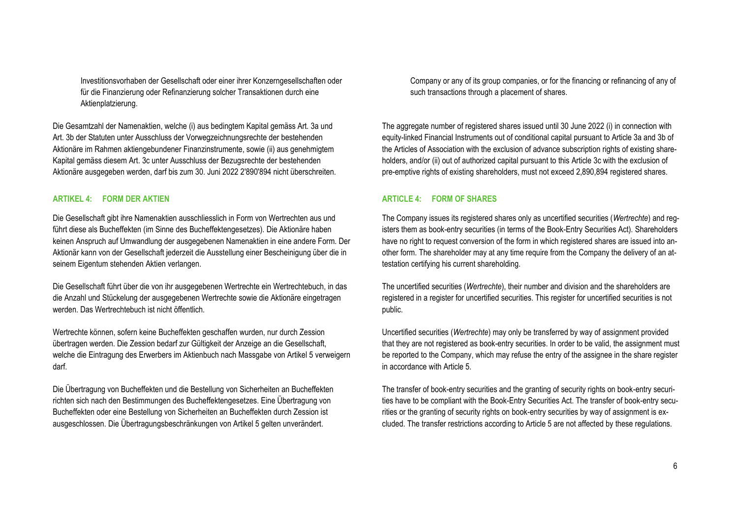Investitionsvorhaben der Gesellschaft oder einer ihrer Konzerngesellschaften oder für die Finanzierung oder Refinanzierung solcher Transaktionen durch eine Aktienplatzierung.

Die Gesamtzahl der Namenaktien, welche (i) aus bedingtem Kapital gemäss Art. 3a und Art. 3b der Statuten unter Ausschluss der Vorwegzeichnungsrechte der bestehenden Aktionäre im Rahmen aktiengebundener Finanzinstrumente, sowie (ii) aus genehmigtem Kapital gemäss diesem Art. 3c unter Ausschluss der Bezugsrechte der bestehenden Aktionäre ausgegeben werden, darf bis zum 30. Juni 2022 2'890'894 nicht überschreiten.

#### **ARTIKEL 4: FORM DER AKTIEN**

Die Gesellschaft gibt ihre Namenaktien ausschliesslich in Form von Wertrechten aus und führt diese als Bucheffekten (im Sinne des Bucheffektengesetzes). Die Aktionäre haben keinen Anspruch auf Umwandlung der ausgegebenen Namenaktien in eine andere Form. Der Aktionär kann von der Gesellschaft jederzeit die Ausstellung einer Bescheinigung über die in seinem Eigentum stehenden Aktien verlangen.

Die Gesellschaft führt über die von ihr ausgegebenen Wertrechte ein Wertrechtebuch, in das die Anzahl und Stückelung der ausgegebenen Wertrechte sowie die Aktionäre eingetragen werden. Das Wertrechtebuch ist nicht öffentlich.

Wertrechte können, sofern keine Bucheffekten geschaffen wurden, nur durch Zession übertragen werden. Die Zession bedarf zur Gültigkeit der Anzeige an die Gesellschaft, welche die Eintragung des Erwerbers im Aktienbuch nach Massgabe von Artikel 5 verweigern darf.

Die Übertragung von Bucheffekten und die Bestellung von Sicherheiten an Bucheffekten richten sich nach den Bestimmungen des Bucheffektengesetzes. Eine Übertragung von Bucheffekten oder eine Bestellung von Sicherheiten an Bucheffekten durch Zession ist ausgeschlossen. Die Übertragungsbeschränkungen von Artikel 5 gelten unverändert.

Company or any of its group companies, or for the financing or refinancing of any of such transactions through a placement of shares.

The aggregate number of registered shares issued until 30 June 2022 (i) in connection with equity-linked Financial Instruments out of conditional capital pursuant to Article 3a and 3b of the Articles of Association with the exclusion of advance subscription rights of existing shareholders, and/or (ii) out of authorized capital pursuant to this Article 3c with the exclusion of pre-emptive rights of existing shareholders, must not exceed 2,890,894 registered shares.

#### **ARTICLE 4: FORM OF SHARES**

The Company issues its registered shares only as uncertified securities (*Wertrechte*) and registers them as book-entry securities (in terms of the Book-Entry Securities Act). Shareholders have no right to request conversion of the form in which registered shares are issued into another form. The shareholder may at any time require from the Company the delivery of an attestation certifying his current shareholding.

The uncertified securities (*Wertrechte*), their number and division and the shareholders are registered in a register for uncertified securities. This register for uncertified securities is not public.

Uncertified securities (*Wertrechte*) may only be transferred by way of assignment provided that they are not registered as book-entry securities. In order to be valid, the assignment must be reported to the Company, which may refuse the entry of the assignee in the share register in accordance with Article 5.

The transfer of book-entry securities and the granting of security rights on book-entry securities have to be compliant with the Book-Entry Securities Act. The transfer of book-entry securities or the granting of security rights on book-entry securities by way of assignment is excluded. The transfer restrictions according to Article 5 are not affected by these regulations.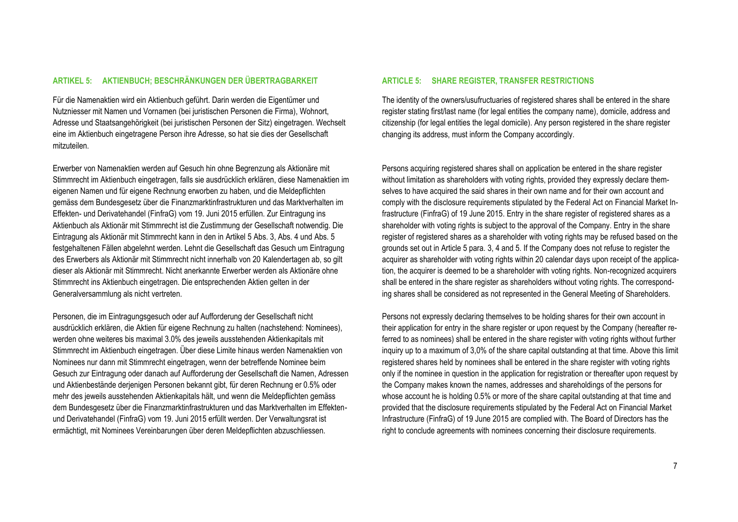#### **ARTIKEL 5: AKTIENBUCH; BESCHRÄNKUNGEN DER ÜBERTRAGBARKEIT**

Für die Namenaktien wird ein Aktienbuch geführt. Darin werden die Eigentümer und Nutzniesser mit Namen und Vornamen (bei juristischen Personen die Firma), Wohnort, Adresse und Staatsangehörigkeit (bei juristischen Personen der Sitz) eingetragen. Wechselt eine im Aktienbuch eingetragene Person ihre Adresse, so hat sie dies der Gesellschaft mitzuteilen.

Erwerber von Namenaktien werden auf Gesuch hin ohne Begrenzung als Aktionäre mit Stimmrecht im Aktienbuch eingetragen, falls sie ausdrücklich erklären, diese Namenaktien im eigenen Namen und für eigene Rechnung erworben zu haben, und die Meldepflichten gemäss dem Bundesgesetz über die Finanzmarktinfrastrukturen und das Marktverhalten im Effekten- und Derivatehandel (FinfraG) vom 19. Juni 2015 erfüllen. Zur Eintragung ins Aktienbuch als Aktionär mit Stimmrecht ist die Zustimmung der Gesellschaft notwendig. Die Eintragung als Aktionär mit Stimmrecht kann in den in Artikel 5 Abs. 3, Abs. 4 und Abs. 5 festgehaltenen Fällen abgelehnt werden. Lehnt die Gesellschaft das Gesuch um Eintragung des Erwerbers als Aktionär mit Stimmrecht nicht innerhalb von 20 Kalendertagen ab, so gilt dieser als Aktionär mit Stimmrecht. Nicht anerkannte Erwerber werden als Aktionäre ohne Stimmrecht ins Aktienbuch eingetragen. Die entsprechenden Aktien gelten in der Generalversammlung als nicht vertreten.

Personen, die im Eintragungsgesuch oder auf Aufforderung der Gesellschaft nicht ausdrücklich erklären, die Aktien für eigene Rechnung zu halten (nachstehend: Nominees), werden ohne weiteres bis maximal 3.0% des jeweils ausstehenden Aktienkapitals mit Stimmrecht im Aktienbuch eingetragen. Über diese Limite hinaus werden Namenaktien von Nominees nur dann mit Stimmrecht eingetragen, wenn der betreffende Nominee beim Gesuch zur Eintragung oder danach auf Aufforderung der Gesellschaft die Namen, Adressen und Aktienbestände derjenigen Personen bekannt gibt, für deren Rechnung er 0.5% oder mehr des jeweils ausstehenden Aktienkapitals hält, und wenn die Meldepflichten gemäss dem Bundesgesetz über die Finanzmarktinfrastrukturen und das Marktverhalten im Effektenund Derivatehandel (FinfraG) vom 19. Juni 2015 erfüllt werden. Der Verwaltungsrat ist ermächtigt, mit Nominees Vereinbarungen über deren Meldepflichten abzuschliessen.

#### **ARTICLE 5: SHARE REGISTER, TRANSFER RESTRICTIONS**

The identity of the owners/usufructuaries of registered shares shall be entered in the share register stating first/last name (for legal entities the company name), domicile, address and citizenship (for legal entities the legal domicile). Any person registered in the share register changing its address, must inform the Company accordingly.

Persons acquiring registered shares shall on application be entered in the share register without limitation as shareholders with voting rights, provided they expressly declare themselves to have acquired the said shares in their own name and for their own account and comply with the disclosure requirements stipulated by the Federal Act on Financial Market Infrastructure (FinfraG) of 19 June 2015. Entry in the share register of registered shares as a shareholder with voting rights is subject to the approval of the Company. Entry in the share register of registered shares as a shareholder with voting rights may be refused based on the grounds set out in Article 5 para. 3, 4 and 5. If the Company does not refuse to register the acquirer as shareholder with voting rights within 20 calendar days upon receipt of the application, the acquirer is deemed to be a shareholder with voting rights. Non-recognized acquirers shall be entered in the share register as shareholders without voting rights. The corresponding shares shall be considered as not represented in the General Meeting of Shareholders.

Persons not expressly declaring themselves to be holding shares for their own account in their application for entry in the share register or upon request by the Company (hereafter referred to as nominees) shall be entered in the share register with voting rights without further inquiry up to a maximum of 3,0% of the share capital outstanding at that time. Above this limit registered shares held by nominees shall be entered in the share register with voting rights only if the nominee in question in the application for registration or thereafter upon request by the Company makes known the names, addresses and shareholdings of the persons for whose account he is holding 0.5% or more of the share capital outstanding at that time and provided that the disclosure requirements stipulated by the Federal Act on Financial Market Infrastructure (FinfraG) of 19 June 2015 are complied with. The Board of Directors has the right to conclude agreements with nominees concerning their disclosure requirements.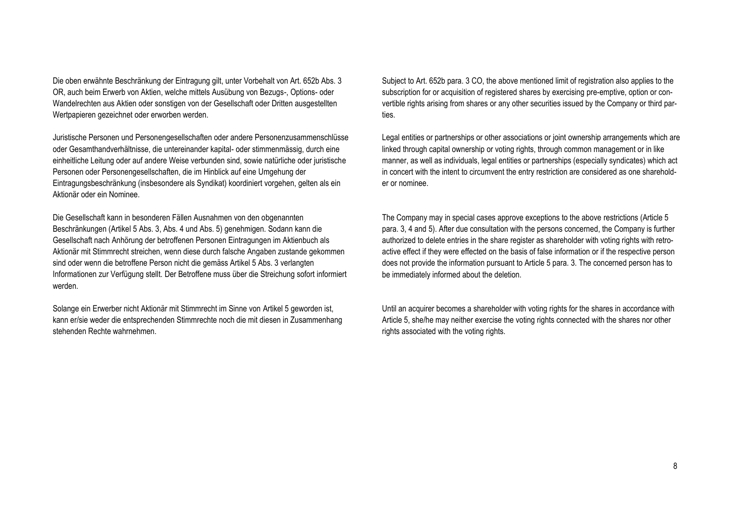Die oben erwähnte Beschränkung der Eintragung gilt, unter Vorbehalt von Art. 652b Abs. 3 OR, auch beim Erwerb von Aktien, welche mittels Ausübung von Bezugs-, Options- oder Wandelrechten aus Aktien oder sonstigen von der Gesellschaft oder Dritten ausgestellten Wertpapieren gezeichnet oder erworben werden.

Juristische Personen und Personengesellschaften oder andere Personenzusammenschlüsse oder Gesamthandverhältnisse, die untereinander kapital- oder stimmenmässig, durch eine einheitliche Leitung oder auf andere Weise verbunden sind, sowie natürliche oder juristische Personen oder Personengesellschaften, die im Hinblick auf eine Umgehung der Eintragungsbeschränkung (insbesondere als Syndikat) koordiniert vorgehen, gelten als ein Aktionär oder ein Nominee.

Die Gesellschaft kann in besonderen Fällen Ausnahmen von den obgenannten Beschränkungen (Artikel 5 Abs. 3, Abs. 4 und Abs. 5) genehmigen. Sodann kann die Gesellschaft nach Anhörung der betroffenen Personen Eintragungen im Aktienbuch als Aktionär mit Stimmrecht streichen, wenn diese durch falsche Angaben zustande gekommen sind oder wenn die betroffene Person nicht die gemäss Artikel 5 Abs. 3 verlangten Informationen zur Verfügung stellt. Der Betroffene muss über die Streichung sofort informiert werden.

Solange ein Erwerber nicht Aktionär mit Stimmrecht im Sinne von Artikel 5 geworden ist, kann er/sie weder die entsprechenden Stimmrechte noch die mit diesen in Zusammenhang stehenden Rechte wahrnehmen.

Subject to Art. 652b para. 3 CO, the above mentioned limit of registration also applies to the subscription for or acquisition of registered shares by exercising pre-emptive, option or convertible rights arising from shares or any other securities issued by the Company or third parties.

Legal entities or partnerships or other associations or joint ownership arrangements which are linked through capital ownership or voting rights, through common management or in like manner, as well as individuals, legal entities or partnerships (especially syndicates) which act in concert with the intent to circumvent the entry restriction are considered as one shareholder or nominee.

The Company may in special cases approve exceptions to the above restrictions (Article 5 para. 3, 4 and 5). After due consultation with the persons concerned, the Company is further authorized to delete entries in the share register as shareholder with voting rights with retroactive effect if they were effected on the basis of false information or if the respective person does not provide the information pursuant to Article 5 para. 3. The concerned person has to be immediately informed about the deletion.

Until an acquirer becomes a shareholder with voting rights for the shares in accordance with Article 5, she/he may neither exercise the voting rights connected with the shares nor other rights associated with the voting rights.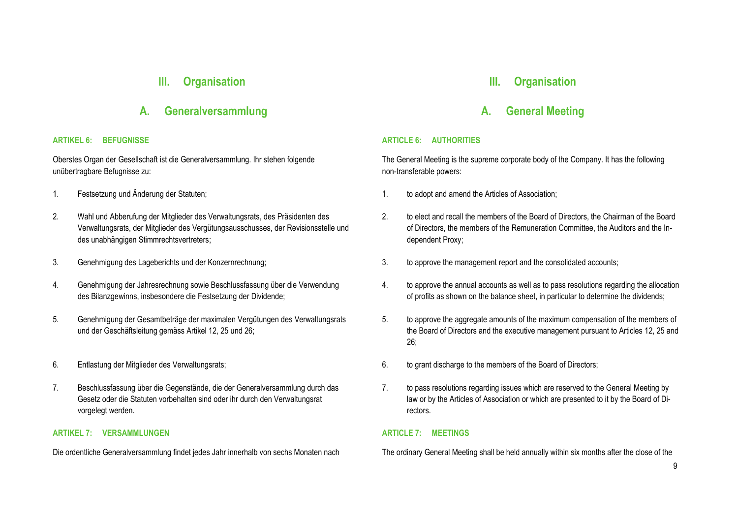### **III. Organisation**

### **A. Generalversammlung**

#### **ARTIKEL 6: BEFUGNISSE**

Oberstes Organ der Gesellschaft ist die Generalversammlung. Ihr stehen folgende unübertragbare Befugnisse zu:

- 
- 2. Wahl und Abberufung der Mitglieder des Verwaltungsrats, des Präsidenten des Verwaltungsrats, der Mitglieder des Vergütungsausschusses, der Revisionsstelle und des unabhängigen Stimmrechtsvertreters;
- 
- 4. Genehmigung der Jahresrechnung sowie Beschlussfassung über die Verwendung des Bilanzgewinns, insbesondere die Festsetzung der Dividende;
- 5. Genehmigung der Gesamtbeträge der maximalen Vergütungen des Verwaltungsrats und der Geschäftsleitung gemäss Artikel 12, 25 und 26;
- 
- 7. Beschlussfassung über die Gegenstände, die der Generalversammlung durch das Gesetz oder die Statuten vorbehalten sind oder ihr durch den Verwaltungsrat vorgelegt werden.

#### **ARTIKEL 7: VERSAMMLUNGEN**

Die ordentliche Generalversammlung findet jedes Jahr innerhalb von sechs Monaten nach

## **III. Organisation**

### **A. General Meeting**

#### **ARTICLE 6: AUTHORITIES**

The General Meeting is the supreme corporate body of the Company. It has the following non-transferable powers:

- 1. Festsetzung und Änderung der Statuten; 1. to adopt and amend the Articles of Association;
	- 2. to elect and recall the members of the Board of Directors, the Chairman of the Board of Directors, the members of the Remuneration Committee, the Auditors and the Independent Proxy;
- 3. Genehmigung des Lageberichts und der Konzernrechnung; 3. to approve the management report and the consolidated accounts;
	- 4. to approve the annual accounts as well as to pass resolutions regarding the allocation of profits as shown on the balance sheet, in particular to determine the dividends;
	- 5. to approve the aggregate amounts of the maximum compensation of the members of the Board of Directors and the executive management pursuant to Articles 12, 25 and 26;
- 6. Entlastung der Mitglieder des Verwaltungsrats; 6. to grant discharge to the members of the Board of Directors;
	- 7. to pass resolutions regarding issues which are reserved to the General Meeting by law or by the Articles of Association or which are presented to it by the Board of Directors.

#### **ARTICLE 7: MEETINGS**

The ordinary General Meeting shall be held annually within six months after the close of the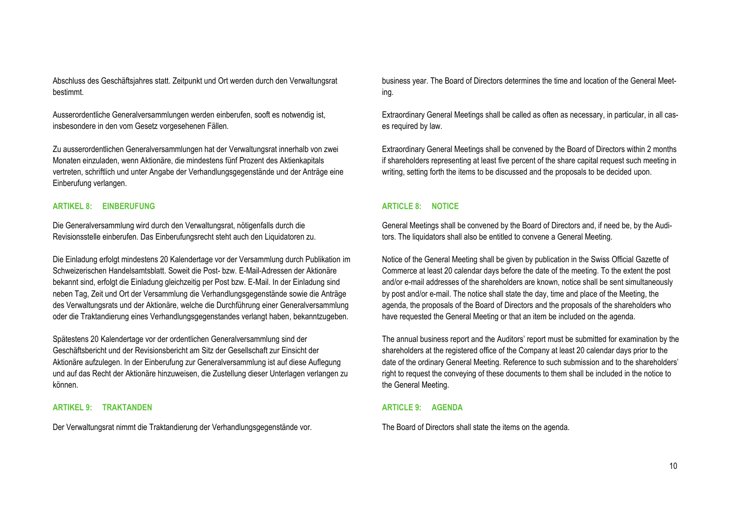Abschluss des Geschäftsjahres statt. Zeitpunkt und Ort werden durch den Verwaltungsrat bestimmt.

Ausserordentliche Generalversammlungen werden einberufen, sooft es notwendig ist, insbesondere in den vom Gesetz vorgesehenen Fällen.

Zu ausserordentlichen Generalversammlungen hat der Verwaltungsrat innerhalb von zwei Monaten einzuladen, wenn Aktionäre, die mindestens fünf Prozent des Aktienkapitals vertreten, schriftlich und unter Angabe der Verhandlungsgegenstände und der Anträge eine Einberufung verlangen.

#### **ARTIKEL 8: EINBERUFUNG**

Die Generalversammlung wird durch den Verwaltungsrat, nötigenfalls durch die Revisionsstelle einberufen. Das Einberufungsrecht steht auch den Liquidatoren zu.

Die Einladung erfolgt mindestens 20 Kalendertage vor der Versammlung durch Publikation im Schweizerischen Handelsamtsblatt. Soweit die Post- bzw. E-Mail-Adressen der Aktionäre bekannt sind, erfolgt die Einladung gleichzeitig per Post bzw. E-Mail. In der Einladung sind neben Tag, Zeit und Ort der Versammlung die Verhandlungsgegenstände sowie die Anträge des Verwaltungsrats und der Aktionäre, welche die Durchführung einer Generalversammlung oder die Traktandierung eines Verhandlungsgegenstandes verlangt haben, bekanntzugeben.

Spätestens 20 Kalendertage vor der ordentlichen Generalversammlung sind der Geschäftsbericht und der Revisionsbericht am Sitz der Gesellschaft zur Einsicht der Aktionäre aufzulegen. In der Einberufung zur Generalversammlung ist auf diese Auflegung und auf das Recht der Aktionäre hinzuweisen, die Zustellung dieser Unterlagen verlangen zu können.

#### **ARTIKEL 9: TRAKTANDEN**

Der Verwaltungsrat nimmt die Traktandierung der Verhandlungsgegenstände vor.

business year. The Board of Directors determines the time and location of the General Meeting.

Extraordinary General Meetings shall be called as often as necessary, in particular, in all cases required by law.

Extraordinary General Meetings shall be convened by the Board of Directors within 2 months if shareholders representing at least five percent of the share capital request such meeting in writing, setting forth the items to be discussed and the proposals to be decided upon.

#### **ARTICLE 8: NOTICE**

General Meetings shall be convened by the Board of Directors and, if need be, by the Auditors. The liquidators shall also be entitled to convene a General Meeting.

Notice of the General Meeting shall be given by publication in the Swiss Official Gazette of Commerce at least 20 calendar days before the date of the meeting. To the extent the post and/or e-mail addresses of the shareholders are known, notice shall be sent simultaneously by post and/or e-mail. The notice shall state the day, time and place of the Meeting, the agenda, the proposals of the Board of Directors and the proposals of the shareholders who have requested the General Meeting or that an item be included on the agenda.

The annual business report and the Auditors' report must be submitted for examination by the shareholders at the registered office of the Company at least 20 calendar days prior to the date of the ordinary General Meeting. Reference to such submission and to the shareholders' right to request the conveying of these documents to them shall be included in the notice to the General Meeting.

#### **ARTICLE 9: AGENDA**

The Board of Directors shall state the items on the agenda.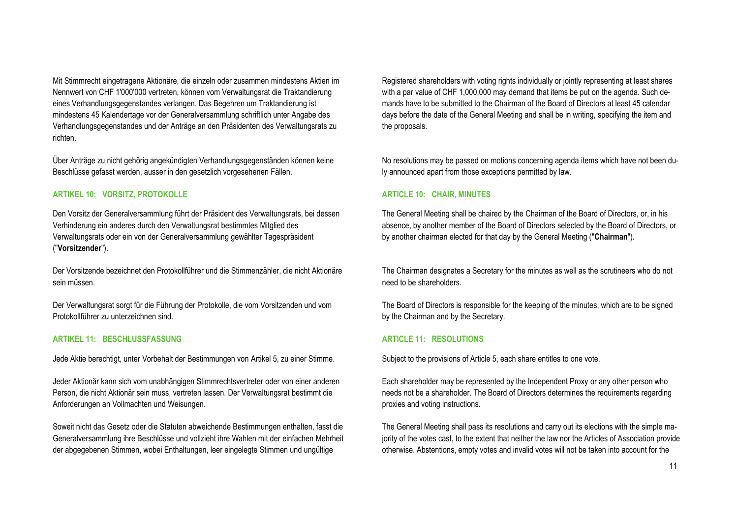Mit Stimmrecht eingetragene Aktionäre, die einzeln oder zusammen mindestens Aktien im Nennwert von CHF 1'000'000 vertreten, können vom Verwaltungsrat die Traktandierung eines Verhandlungsgegenstandes verlangen. Das Begehren um Traktandierung ist mindestens 45 Kalendertage vor der Generalversammlung schriftlich unter Angabe des Verhandlungsgegenstandes und der Anträge an den Präsidenten des Verwaltungsrats zu richten.

Über Anträge zu nicht gehörig angekündigten Verhandlungsgegenständen können keine Beschlüsse gefasst werden, ausser in den gesetzlich vorgesehenen Fällen.

#### **ARTIKEL 10: VORSITZ, PROTOKOLLE**

Den Vorsitz der Generalversammlung führt der Präsident des Verwaltungsrats, bei dessen Verhinderung ein anderes durch den Verwaltungsrat bestimmtes Mitglied des Verwaltungsrats oder ein von der Generalversammlung gewählter Tagespräsident ("**Vorsitzender**").

Der Vorsitzende bezeichnet den Protokollführer und die Stimmenzähler, die nicht Aktionäre sein müssen.

Der Verwaltungsrat sorgt für die Führung der Protokolle, die vom Vorsitzenden und vom Protokollführer zu unterzeichnen sind.

#### **ARTIKEL 11: BESCHLUSSFASSUNG**

Jede Aktie berechtigt, unter Vorbehalt der Bestimmungen von Artikel 5, zu einer Stimme.

Jeder Aktionär kann sich vom unabhängigen Stimmrechtsvertreter oder von einer anderen Person, die nicht Aktionär sein muss, vertreten lassen. Der Verwaltungsrat bestimmt die Anforderungen an Vollmachten und Weisungen.

Soweit nicht das Gesetz oder die Statuten abweichende Bestimmungen enthalten, fasst die Generalversammlung ihre Beschlüsse und vollzieht ihre Wahlen mit der einfachen Mehrheit der abgegebenen Stimmen, wobei Enthaltungen, leer eingelegte Stimmen und ungültige

Registered shareholders with voting rights individually or jointly representing at least shares with a par value of CHF 1,000,000 may demand that items be put on the agenda. Such demands have to be submitted to the Chairman of the Board of Directors at least 45 calendar days before the date of the General Meeting and shall be in writing, specifying the item and the proposals.

No resolutions may be passed on motions concerning agenda items which have not been duly announced apart from those exceptions permitted by law.

#### **ARTICLE 10: CHAIR, MINUTES**

The General Meeting shall be chaired by the Chairman of the Board of Directors, or, in his absence, by another member of the Board of Directors selected by the Board of Directors, or by another chairman elected for that day by the General Meeting ("**Chairman**").

The Chairman designates a Secretary for the minutes as well as the scrutineers who do not need to be shareholders.

The Board of Directors is responsible for the keeping of the minutes, which are to be signed by the Chairman and by the Secretary.

#### **ARTICLE 11: RESOLUTIONS**

Subject to the provisions of Article 5, each share entitles to one vote.

Each shareholder may be represented by the Independent Proxy or any other person who needs not be a shareholder. The Board of Directors determines the requirements regarding proxies and voting instructions.

The General Meeting shall pass its resolutions and carry out its elections with the simple majority of the votes cast, to the extent that neither the law nor the Articles of Association provide otherwise. Abstentions, empty votes and invalid votes will not be taken into account for the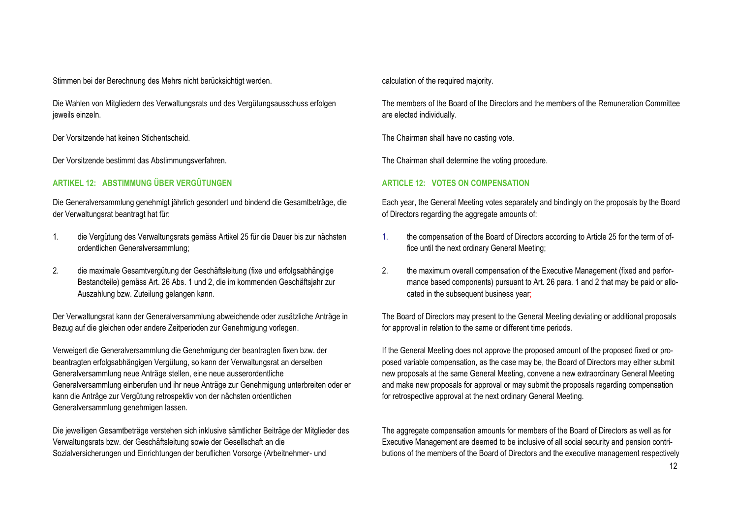Stimmen bei der Berechnung des Mehrs nicht berücksichtigt werden. calculation of the required majority.

Die Wahlen von Mitgliedern des Verwaltungsrats und des Vergütungsausschuss erfolgen jeweils einzeln.

Der Vorsitzende hat keinen Stichentscheid. The Chairman shall have no casting vote.

Der Vorsitzende bestimmt das Abstimmungsverfahren. The Chairman shall determine the voting procedure.

### **ARTIKEL 12: ABSTIMMUNG ÜBER VERGÜTUNGEN**

Die Generalversammlung genehmigt jährlich gesondert und bindend die Gesamtbeträge, die der Verwaltungsrat beantragt hat für:

- 1. die Vergütung des Verwaltungsrats gemäss Artikel 25 für die Dauer bis zur nächsten ordentlichen Generalversammlung;
- 2. die maximale Gesamtvergütung der Geschäftsleitung (fixe und erfolgsabhängige Bestandteile) gemäss Art. 26 Abs. 1 und 2, die im kommenden Geschäftsjahr zur Auszahlung bzw. Zuteilung gelangen kann.

Der Verwaltungsrat kann der Generalversammlung abweichende oder zusätzliche Anträge in Bezug auf die gleichen oder andere Zeitperioden zur Genehmigung vorlegen.

Verweigert die Generalversammlung die Genehmigung der beantragten fixen bzw. der beantragten erfolgsabhängigen Vergütung, so kann der Verwaltungsrat an derselben Generalversammlung neue Anträge stellen, eine neue ausserordentliche Generalversammlung einberufen und ihr neue Anträge zur Genehmigung unterbreiten oder er kann die Anträge zur Vergütung retrospektiv von der nächsten ordentlichen Generalversammlung genehmigen lassen.

Die jeweiligen Gesamtbeträge verstehen sich inklusive sämtlicher Beiträge der Mitglieder des Verwaltungsrats bzw. der Geschäftsleitung sowie der Gesellschaft an die Sozialversicherungen und Einrichtungen der beruflichen Vorsorge (Arbeitnehmer- und

The members of the Board of the Directors and the members of the Remuneration Committee are elected individually.

#### **ARTICLE 12: VOTES ON COMPENSATION**

Each year, the General Meeting votes separately and bindingly on the proposals by the Board of Directors regarding the aggregate amounts of:

- 1. the compensation of the Board of Directors according to Article 25 for the term of office until the next ordinary General Meeting;
- 2. the maximum overall compensation of the Executive Management (fixed and performance based components) pursuant to Art. 26 para. 1 and 2 that may be paid or allocated in the subsequent business year;

The Board of Directors may present to the General Meeting deviating or additional proposals for approval in relation to the same or different time periods.

If the General Meeting does not approve the proposed amount of the proposed fixed or proposed variable compensation, as the case may be, the Board of Directors may either submit new proposals at the same General Meeting, convene a new extraordinary General Meeting and make new proposals for approval or may submit the proposals regarding compensation for retrospective approval at the next ordinary General Meeting.

The aggregate compensation amounts for members of the Board of Directors as well as for Executive Management are deemed to be inclusive of all social security and pension contributions of the members of the Board of Directors and the executive management respectively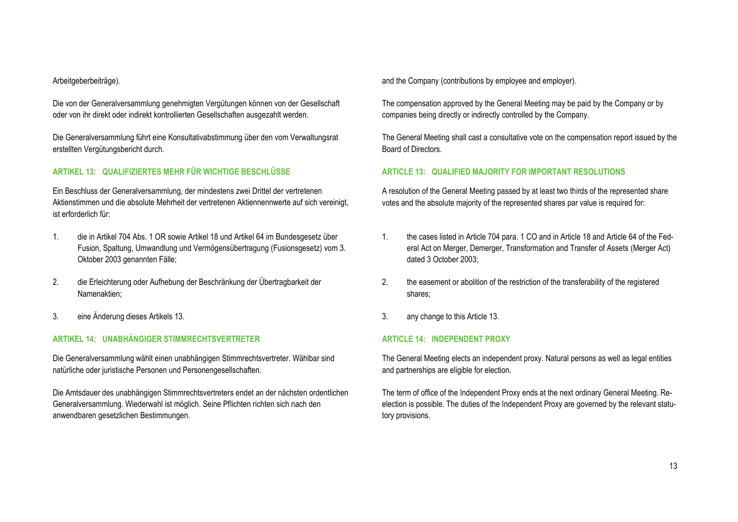Die von der Generalversammlung genehmigten Vergütungen können von der Gesellschaft oder von ihr direkt oder indirekt kontrollierten Gesellschaften ausgezahlt werden.

Die Generalversammlung führt eine Konsultativabstimmung über den vom Verwaltungsrat erstellten Vergütungsbericht durch.

#### **ARTIKEL 13: QUALIFIZIERTES MEHR FÜR WICHTIGE BESCHLÜSSE**

Ein Beschluss der Generalversammlung, der mindestens zwei Drittel der vertretenen Aktienstimmen und die absolute Mehrheit der vertretenen Aktiennennwerte auf sich vereinigt, ist erforderlich für:

- 1. die in Artikel 704 Abs. 1 OR sowie Artikel 18 und Artikel 64 im Bundesgesetz über Fusion, Spaltung, Umwandlung und Vermögensübertragung (Fusionsgesetz) vom 3. Oktober 2003 genannten Fälle;
- 2. die Erleichterung oder Aufhebung der Beschränkung der Übertragbarkeit der Namenaktien;
- 3. eine Änderung dieses Artikels 13. 3. any change to this Article 13.

#### **ARTIKEL 14: UNABHÄNGIGER STIMMRECHTSVERTRETER**

Die Generalversammlung wählt einen unabhängigen Stimmrechtsvertreter. Wählbar sind natürliche oder juristische Personen und Personengesellschaften.

Die Amtsdauer des unabhängigen Stimmrechtsvertreters endet an der nächsten ordentlichen Generalversammlung. Wiederwahl ist möglich. Seine Pflichten richten sich nach den anwendbaren gesetzlichen Bestimmungen.

Arbeitgeberbeiträge). **Arbeitgeberbeiträge**). **and the Company (contributions by employee and employer).** And the Company (contributions by employee and employer).

The compensation approved by the General Meeting may be paid by the Company or by companies being directly or indirectly controlled by the Company.

The General Meeting shall cast a consultative vote on the compensation report issued by the Board of Directors.

#### **ARTICLE 13: QUALIFIED MAJORITY FOR IMPORTANT RESOLUTIONS**

A resolution of the General Meeting passed by at least two thirds of the represented share votes and the absolute majority of the represented shares par value is required for:

- 1. the cases listed in Article 704 para. 1 CO and in Article 18 and Article 64 of the Federal Act on Merger, Demerger, Transformation and Transfer of Assets (Merger Act) dated 3 October 2003;
- 2. the easement or abolition of the restriction of the transferability of the registered shares;
- 

#### **ARTICLE 14: INDEPENDENT PROXY**

The General Meeting elects an independent proxy. Natural persons as well as legal entities and partnerships are eligible for election.

The term of office of the Independent Proxy ends at the next ordinary General Meeting. Reelection is possible. The duties of the Independent Proxy are governed by the relevant statutory provisions.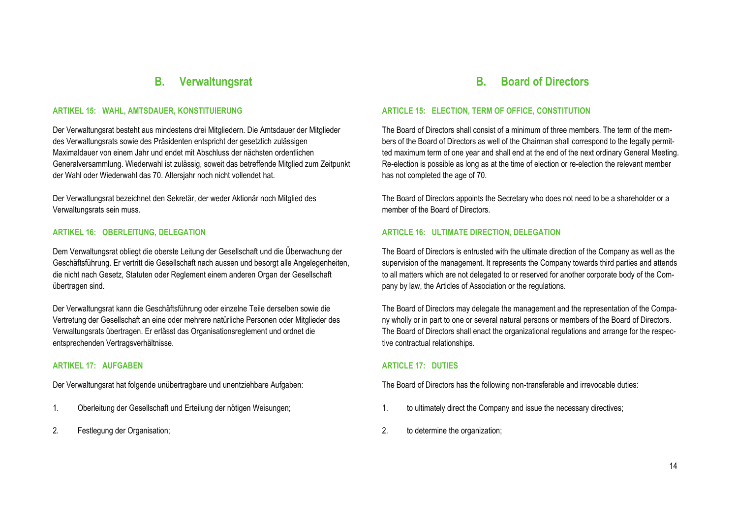### **B. Verwaltungsrat**

#### **ARTIKEL 15: WAHL, AMTSDAUER, KONSTITUIERUNG**

Der Verwaltungsrat besteht aus mindestens drei Mitgliedern. Die Amtsdauer der Mitglieder des Verwaltungsrats sowie des Präsidenten entspricht der gesetzlich zulässigen Maximaldauer von einem Jahr und endet mit Abschluss der nächsten ordentlichen Generalversammlung. Wiederwahl ist zulässig, soweit das betreffende Mitglied zum Zeitpunkt der Wahl oder Wiederwahl das 70. Altersjahr noch nicht vollendet hat.

Der Verwaltungsrat bezeichnet den Sekretär, der weder Aktionär noch Mitglied des Verwaltungsrats sein muss.

#### **ARTIKEL 16: OBERLEITUNG, DELEGATION**

Dem Verwaltungsrat obliegt die oberste Leitung der Gesellschaft und die Überwachung der Geschäftsführung. Er vertritt die Gesellschaft nach aussen und besorgt alle Angelegenheiten, die nicht nach Gesetz, Statuten oder Reglement einem anderen Organ der Gesellschaft übertragen sind.

Der Verwaltungsrat kann die Geschäftsführung oder einzelne Teile derselben sowie die Vertretung der Gesellschaft an eine oder mehrere natürliche Personen oder Mitglieder des Verwaltungsrats übertragen. Er erlässt das Organisationsreglement und ordnet die entsprechenden Vertragsverhältnisse.

#### **ARTIKEL 17: AUFGABEN**

Der Verwaltungsrat hat folgende unübertragbare und unentziehbare Aufgaben:

- 
- 

### **B. Board of Directors**

#### **ARTICLE 15: ELECTION, TERM OF OFFICE, CONSTITUTION**

The Board of Directors shall consist of a minimum of three members. The term of the members of the Board of Directors as well of the Chairman shall correspond to the legally permitted maximum term of one year and shall end at the end of the next ordinary General Meeting. Re-election is possible as long as at the time of election or re-election the relevant member has not completed the age of 70.

The Board of Directors appoints the Secretary who does not need to be a shareholder or a member of the Board of Directors.

#### **ARTICLE 16: ULTIMATE DIRECTION, DELEGATION**

The Board of Directors is entrusted with the ultimate direction of the Company as well as the supervision of the management. It represents the Company towards third parties and attends to all matters which are not delegated to or reserved for another corporate body of the Company by law, the Articles of Association or the regulations.

The Board of Directors may delegate the management and the representation of the Company wholly or in part to one or several natural persons or members of the Board of Directors. The Board of Directors shall enact the organizational regulations and arrange for the respective contractual relationships.

#### **ARTICLE 17: DUTIES**

The Board of Directors has the following non-transferable and irrevocable duties:

- 1. Oberleitung der Gesellschaft und Erteilung der nötigen Weisungen; 1. to ultimately direct the Company and issue the necessary directives;
- 2. Festlegung der Organisation; 2. to determine the organization;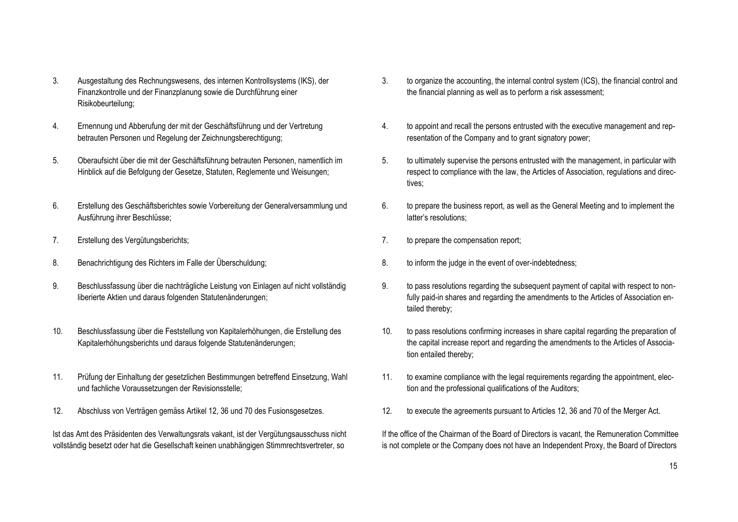- 3. Ausgestaltung des Rechnungswesens, des internen Kontrollsystems (IKS), der Finanzkontrolle und der Finanzplanung sowie die Durchführung einer Risikobeurteilung;
- 4. Ernennung und Abberufung der mit der Geschäftsführung und der Vertretung betrauten Personen und Regelung der Zeichnungsberechtigung;
- 5. Oberaufsicht über die mit der Geschäftsführung betrauten Personen, namentlich im Hinblick auf die Befolgung der Gesetze, Statuten, Reglemente und Weisungen;
- 6. Erstellung des Geschäftsberichtes sowie Vorbereitung der Generalversammlung und Ausführung ihrer Beschlüsse;
- 
- 8. Benachrichtigung des Richters im Falle der Überschuldung; 8. to inform the judge in the event of over-indebtedness;
- 9. Beschlussfassung über die nachträgliche Leistung von Einlagen auf nicht vollständig liberierte Aktien und daraus folgenden Statutenänderungen;
- 10. Beschlussfassung über die Feststellung von Kapitalerhöhungen, die Erstellung des Kapitalerhöhungsberichts und daraus folgende Statutenänderungen;
- 11. Prüfung der Einhaltung der gesetzlichen Bestimmungen betreffend Einsetzung, Wahl und fachliche Voraussetzungen der Revisionsstelle;
- 

Ist das Amt des Präsidenten des Verwaltungsrats vakant, ist der Vergütungsausschuss nicht vollständig besetzt oder hat die Gesellschaft keinen unabhängigen Stimmrechtsvertreter, so

- 3. to organize the accounting, the internal control system (ICS), the financial control and the financial planning as well as to perform a risk assessment;
- 4. to appoint and recall the persons entrusted with the executive management and representation of the Company and to grant signatory power;
- 5. to ultimately supervise the persons entrusted with the management, in particular with respect to compliance with the law, the Articles of Association, regulations and directives;
- 6. to prepare the business report, as well as the General Meeting and to implement the latter's resolutions;
- 7. Erstellung des Vergütungsberichts; 7. to prepare the compensation report;
	-
	- 9. to pass resolutions regarding the subsequent payment of capital with respect to nonfully paid-in shares and regarding the amendments to the Articles of Association entailed thereby;
	- 10. to pass resolutions confirming increases in share capital regarding the preparation of the capital increase report and regarding the amendments to the Articles of Association entailed thereby;
	- 11. to examine compliance with the legal requirements regarding the appointment, election and the professional qualifications of the Auditors;
- 12. Abschluss von Verträgen gemäss Artikel 12, 36 und 70 des Fusionsgesetzes. 12. to execute the agreements pursuant to Articles 12, 36 and 70 of the Merger Act.

If the office of the Chairman of the Board of Directors is vacant, the Remuneration Committee is not complete or the Company does not have an Independent Proxy, the Board of Directors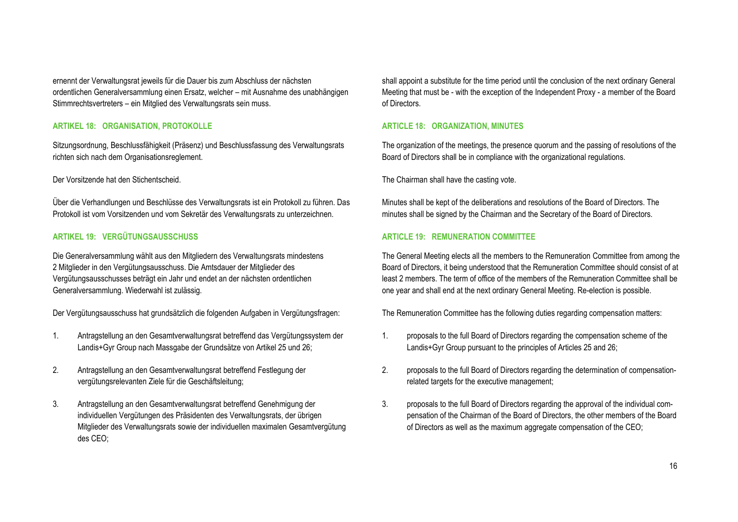ernennt der Verwaltungsrat jeweils für die Dauer bis zum Abschluss der nächsten ordentlichen Generalversammlung einen Ersatz, welcher – mit Ausnahme des unabhängigen Stimmrechtsvertreters – ein Mitglied des Verwaltungsrats sein muss.

#### **ARTIKEL 18: ORGANISATION, PROTOKOLLE**

Sitzungsordnung, Beschlussfähigkeit (Präsenz) und Beschlussfassung des Verwaltungsrats richten sich nach dem Organisationsreglement.

Über die Verhandlungen und Beschlüsse des Verwaltungsrats ist ein Protokoll zu führen. Das Protokoll ist vom Vorsitzenden und vom Sekretär des Verwaltungsrats zu unterzeichnen.

#### **ARTIKEL 19: VERGÜTUNGSAUSSCHUSS**

Die Generalversammlung wählt aus den Mitgliedern des Verwaltungsrats mindestens 2 Mitglieder in den Vergütungsausschuss. Die Amtsdauer der Mitglieder des Vergütungsausschusses beträgt ein Jahr und endet an der nächsten ordentlichen Generalversammlung. Wiederwahl ist zulässig.

Der Vergütungsausschuss hat grundsätzlich die folgenden Aufgaben in Vergütungsfragen: The Remuneration Committee has the following duties regarding compensation matters:

- 1. Antragstellung an den Gesamtverwaltungsrat betreffend das Vergütungssystem der Landis+Gyr Group nach Massgabe der Grundsätze von Artikel 25 und 26;
- 2. Antragstellung an den Gesamtverwaltungsrat betreffend Festlegung der vergütungsrelevanten Ziele für die Geschäftsleitung;
- 3. Antragstellung an den Gesamtverwaltungsrat betreffend Genehmigung der individuellen Vergütungen des Präsidenten des Verwaltungsrats, der übrigen Mitglieder des Verwaltungsrats sowie der individuellen maximalen Gesamtvergütung des CEO;

shall appoint a substitute for the time period until the conclusion of the next ordinary General Meeting that must be - with the exception of the Independent Proxy - a member of the Board of Directors.

#### **ARTICLE 18: ORGANIZATION, MINUTES**

The organization of the meetings, the presence quorum and the passing of resolutions of the Board of Directors shall be in compliance with the organizational regulations.

Der Vorsitzende hat den Stichentscheid. The Chairman shall have the casting vote.

Minutes shall be kept of the deliberations and resolutions of the Board of Directors. The minutes shall be signed by the Chairman and the Secretary of the Board of Directors.

#### **ARTICLE 19: REMUNERATION COMMITTEE**

The General Meeting elects all the members to the Remuneration Committee from among the Board of Directors, it being understood that the Remuneration Committee should consist of at least 2 members. The term of office of the members of the Remuneration Committee shall be one year and shall end at the next ordinary General Meeting. Re-election is possible.

- 1. proposals to the full Board of Directors regarding the compensation scheme of the Landis+Gyr Group pursuant to the principles of Articles 25 and 26;
- 2. proposals to the full Board of Directors regarding the determination of compensationrelated targets for the executive management;
- 3. proposals to the full Board of Directors regarding the approval of the individual compensation of the Chairman of the Board of Directors, the other members of the Board of Directors as well as the maximum aggregate compensation of the CEO;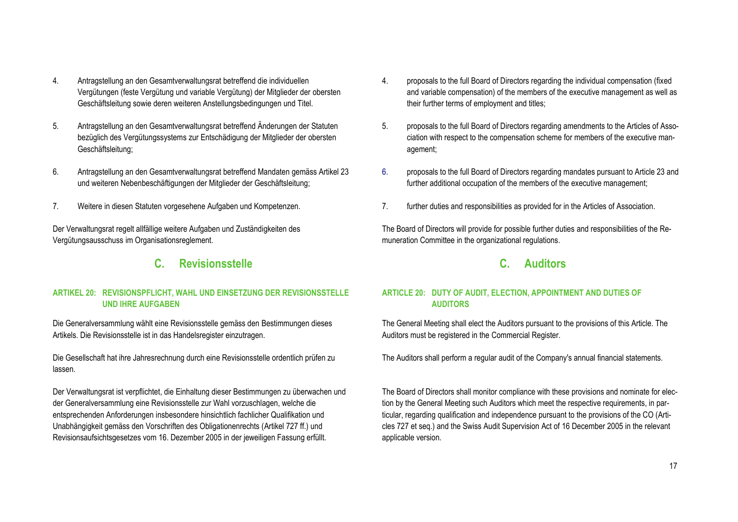- 4. Antragstellung an den Gesamtverwaltungsrat betreffend die individuellen Vergütungen (feste Vergütung und variable Vergütung) der Mitglieder der obersten Geschäftsleitung sowie deren weiteren Anstellungsbedingungen und Titel.
- 5. Antragstellung an den Gesamtverwaltungsrat betreffend Änderungen der Statuten bezüglich des Vergütungssystems zur Entschädigung der Mitglieder der obersten Geschäftsleitung;
- 6. Antragstellung an den Gesamtverwaltungsrat betreffend Mandaten gemäss Artikel 23 und weiteren Nebenbeschäftigungen der Mitglieder der Geschäftsleitung;
- 

Der Verwaltungsrat regelt allfällige weitere Aufgaben und Zuständigkeiten des Vergütungsausschuss im Organisationsreglement.

### **C. Revisionsstelle**

#### **ARTIKEL 20: REVISIONSPFLICHT, WAHL UND EINSETZUNG DER REVISIONSSTELLE UND IHRE AUFGABEN**

Die Generalversammlung wählt eine Revisionsstelle gemäss den Bestimmungen dieses Artikels. Die Revisionsstelle ist in das Handelsregister einzutragen.

Die Gesellschaft hat ihre Jahresrechnung durch eine Revisionsstelle ordentlich prüfen zu lassen.

Der Verwaltungsrat ist verpflichtet, die Einhaltung dieser Bestimmungen zu überwachen und der Generalversammlung eine Revisionsstelle zur Wahl vorzuschlagen, welche die entsprechenden Anforderungen insbesondere hinsichtlich fachlicher Qualifikation und Unabhängigkeit gemäss den Vorschriften des Obligationenrechts (Artikel 727 ff.) und Revisionsaufsichtsgesetzes vom 16. Dezember 2005 in der jeweiligen Fassung erfüllt.

- 4. proposals to the full Board of Directors regarding the individual compensation (fixed and variable compensation) of the members of the executive management as well as their further terms of employment and titles;
- 5. proposals to the full Board of Directors regarding amendments to the Articles of Association with respect to the compensation scheme for members of the executive management;
- 6. proposals to the full Board of Directors regarding mandates pursuant to Article 23 and further additional occupation of the members of the executive management;
- 7. Weitere in diesen Statuten vorgesehene Aufgaben und Kompetenzen. 7. further duties and responsibilities as provided for in the Articles of Association.

The Board of Directors will provide for possible further duties and responsibilities of the Remuneration Committee in the organizational regulations.

### **C. Auditors**

#### **ARTICLE 20: DUTY OF AUDIT, ELECTION, APPOINTMENT AND DUTIES OF AUDITORS**

The General Meeting shall elect the Auditors pursuant to the provisions of this Article. The Auditors must be registered in the Commercial Register.

The Auditors shall perform a regular audit of the Company's annual financial statements.

The Board of Directors shall monitor compliance with these provisions and nominate for election by the General Meeting such Auditors which meet the respective requirements, in particular, regarding qualification and independence pursuant to the provisions of the CO (Articles 727 et seq.) and the Swiss Audit Supervision Act of 16 December 2005 in the relevant applicable version.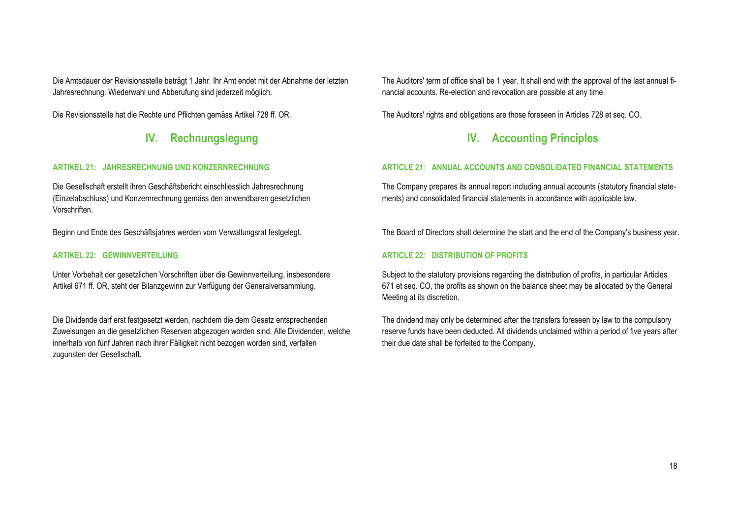Die Amtsdauer der Revisionsstelle beträgt 1 Jahr. Ihr Amt endet mit der Abnahme der letzten Jahresrechnung. Wiederwahl und Abberufung sind jederzeit möglich.

### **IV. Rechnungslegung**

#### **ARTIKEL 21: JAHRESRECHNUNG UND KONZERNRECHNUNG**

Die Gesellschaft erstellt ihren Geschäftsbericht einschliesslich Jahresrechnung (Einzelabschluss) und Konzernrechnung gemäss den anwendbaren gesetzlichen Vorschriften.

### **ARTIKEL 22: GEWINNVERTEILUNG**

Unter Vorbehalt der gesetzlichen Vorschriften über die Gewinnverteilung, insbesondere Artikel 671 ff. OR, steht der Bilanzgewinn zur Verfügung der Generalversammlung.

Die Dividende darf erst festgesetzt werden, nachdem die dem Gesetz entsprechenden Zuweisungen an die gesetzlichen Reserven abgezogen worden sind. Alle Dividenden, welche innerhalb von fünf Jahren nach ihrer Fälligkeit nicht bezogen worden sind, verfallen zugunsten der Gesellschaft.

The Auditors' term of office shall be 1 year. It shall end with the approval of the last annual financial accounts. Re-election and revocation are possible at any time.

Die Revisionsstelle hat die Rechte und Pflichten gemäss Artikel 728 ff. OR. The Auditors' rights and obligations are those foreseen in Articles 728 et seq. CO.

## **IV. Accounting Principles**

### **ARTICLE 21: ANNUAL ACCOUNTS AND CONSOLIDATED FINANCIAL STATEMENTS**

The Company prepares its annual report including annual accounts (statutory financial statements) and consolidated financial statements in accordance with applicable law.

Beginn und Ende des Geschäftsjahres werden vom Verwaltungsrat festgelegt. The Board of Directors shall determine the start and the end of the Company's business year.

### **ARTICLE 22: DISTRIBUTION OF PROFITS**

Subject to the statutory provisions regarding the distribution of profits, in particular Articles 671 et seq. CO, the profits as shown on the balance sheet may be allocated by the General Meeting at its discretion.

The dividend may only be determined after the transfers foreseen by law to the compulsory reserve funds have been deducted. All dividends unclaimed within a period of five years after their due date shall be forfeited to the Company.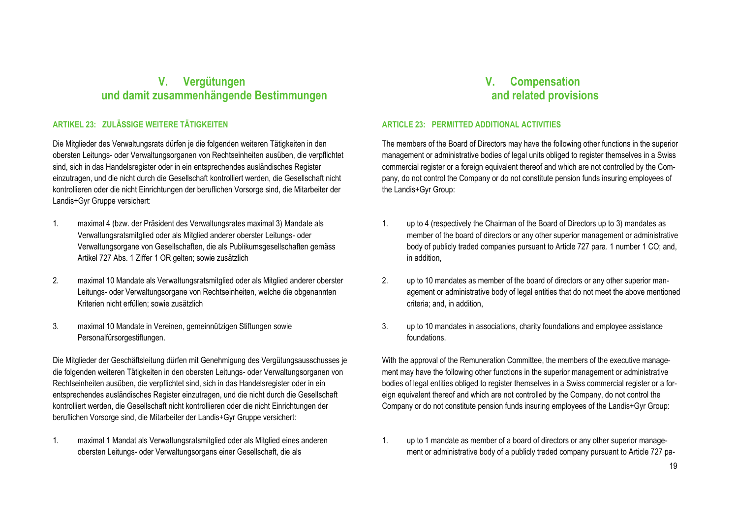## **V. Vergütungen und damit zusammenhängende Bestimmungen**

#### **ARTIKEL 23: ZULÄSSIGE WEITERE TÄTIGKEITEN**

Die Mitglieder des Verwaltungsrats dürfen je die folgenden weiteren Tätigkeiten in den obersten Leitungs- oder Verwaltungsorganen von Rechtseinheiten ausüben, die verpflichtet sind, sich in das Handelsregister oder in ein entsprechendes ausländisches Register einzutragen, und die nicht durch die Gesellschaft kontrolliert werden, die Gesellschaft nicht kontrollieren oder die nicht Einrichtungen der beruflichen Vorsorge sind, die Mitarbeiter der Landis+Gyr Gruppe versichert:

- 1. maximal 4 (bzw. der Präsident des Verwaltungsrates maximal 3) Mandate als Verwaltungsratsmitglied oder als Mitglied anderer oberster Leitungs- oder Verwaltungsorgane von Gesellschaften, die als Publikumsgesellschaften gemäss Artikel 727 Abs. 1 Ziffer 1 OR gelten; sowie zusätzlich
- 2. maximal 10 Mandate als Verwaltungsratsmitglied oder als Mitglied anderer oberster Leitungs- oder Verwaltungsorgane von Rechtseinheiten, welche die obgenannten Kriterien nicht erfüllen; sowie zusätzlich
- 3. maximal 10 Mandate in Vereinen, gemeinnützigen Stiftungen sowie Personalfürsorgestiftungen.

Die Mitglieder der Geschäftsleitung dürfen mit Genehmigung des Vergütungsausschusses je die folgenden weiteren Tätigkeiten in den obersten Leitungs- oder Verwaltungsorganen von Rechtseinheiten ausüben, die verpflichtet sind, sich in das Handelsregister oder in ein entsprechendes ausländisches Register einzutragen, und die nicht durch die Gesellschaft kontrolliert werden, die Gesellschaft nicht kontrollieren oder die nicht Einrichtungen der beruflichen Vorsorge sind, die Mitarbeiter der Landis+Gyr Gruppe versichert:

1. maximal 1 Mandat als Verwaltungsratsmitglied oder als Mitglied eines anderen obersten Leitungs- oder Verwaltungsorgans einer Gesellschaft, die als

## **V. Compensation and related provisions**

#### **ARTICLE 23: PERMITTED ADDITIONAL ACTIVITIES**

The members of the Board of Directors may have the following other functions in the superior management or administrative bodies of legal units obliged to register themselves in a Swiss commercial register or a foreign equivalent thereof and which are not controlled by the Company, do not control the Company or do not constitute pension funds insuring employees of the Landis+Gyr Group:

- 1. up to 4 (respectively the Chairman of the Board of Directors up to 3) mandates as member of the board of directors or any other superior management or administrative body of publicly traded companies pursuant to Article 727 para. 1 number 1 CO; and, in addition,
- 2. up to 10 mandates as member of the board of directors or any other superior management or administrative body of legal entities that do not meet the above mentioned criteria; and, in addition,
- 3. up to 10 mandates in associations, charity foundations and employee assistance foundations.

With the approval of the Remuneration Committee, the members of the executive management may have the following other functions in the superior management or administrative bodies of legal entities obliged to register themselves in a Swiss commercial register or a foreign equivalent thereof and which are not controlled by the Company, do not control the Company or do not constitute pension funds insuring employees of the Landis+Gyr Group:

1. up to 1 mandate as member of a board of directors or any other superior management or administrative body of a publicly traded company pursuant to Article 727 pa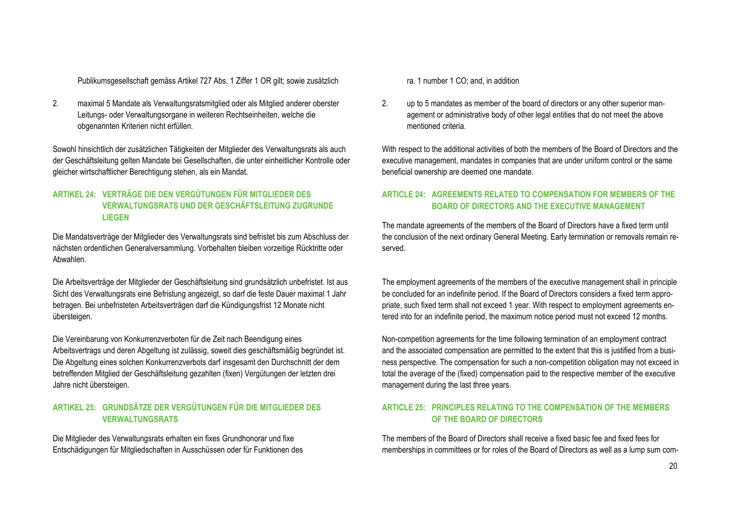Publikumsgesellschaft gemäss Artikel 727 Abs. 1 Ziffer 1 OR gilt; sowie zusätzlich rate and and rate 1 CO; and, in addition

2. maximal 5 Mandate als Verwaltungsratsmitglied oder als Mitglied anderer oberster Leitungs- oder Verwaltungsorgane in weiteren Rechtseinheiten, welche die obgenannten Kriterien nicht erfüllen.

Sowohl hinsichtlich der zusätzlichen Tätigkeiten der Mitglieder des Verwaltungsrats als auch der Geschäftsleitung gelten Mandate bei Gesellschaften, die unter einheitlicher Kontrolle oder gleicher wirtschaftlicher Berechtigung stehen, als ein Mandat.

#### **ARTIKEL 24: VERTRÄGE DIE DEN VERGÜTUNGEN FÜR MITGLIEDER DES VERWALTUNGSRATS UND DER GESCHÄFTSLEITUNG ZUGRUNDE LIEGEN**

Die Mandatsverträge der Mitglieder des Verwaltungsrats sind befristet bis zum Abschluss der nächsten ordentlichen Generalversammlung. Vorbehalten bleiben vorzeitige Rücktritte oder Abwahlen.

Die Arbeitsverträge der Mitglieder der Geschäftsleitung sind grundsätzlich unbefristet. Ist aus Sicht des Verwaltungsrats eine Befristung angezeigt, so darf die feste Dauer maximal 1 Jahr betragen. Bei unbefristeten Arbeitsverträgen darf die Kündigungsfrist 12 Monate nicht übersteigen.

Die Vereinbarung von Konkurrenzverboten für die Zeit nach Beendigung eines Arbeitsvertrags und deren Abgeltung ist zulässig, soweit dies geschäftsmäßig begründet ist. Die Abgeltung eines solchen Konkurrenzverbots darf insgesamt den Durchschnitt der dem betreffenden Mitglied der Geschäftsleitung gezahlten (fixen) Vergütungen der letzten drei Jahre nicht übersteigen.

### **ARTIKEL 25: GRUNDSÄTZE DER VERGÜTUNGEN FÜR DIE MITGLIEDER DES VERWALTUNGSRATS**

Die Mitglieder des Verwaltungsrats erhalten ein fixes Grundhonorar und fixe Entschädigungen für Mitgliedschaften in Ausschüssen oder für Funktionen des

2. up to 5 mandates as member of the board of directors or any other superior management or administrative body of other legal entities that do not meet the above mentioned criteria.

With respect to the additional activities of both the members of the Board of Directors and the executive management, mandates in companies that are under uniform control or the same beneficial ownership are deemed one mandate.

#### **ARTICLE 24: AGREEMENTS RELATED TO COMPENSATION FOR MEMBERS OF THE BOARD OF DIRECTORS AND THE EXECUTIVE MANAGEMENT**

The mandate agreements of the members of the Board of Directors have a fixed term until the conclusion of the next ordinary General Meeting. Early termination or removals remain reserved.

The employment agreements of the members of the executive management shall in principle be concluded for an indefinite period. If the Board of Directors considers a fixed term appropriate, such fixed term shall not exceed 1 year. With respect to employment agreements entered into for an indefinite period, the maximum notice period must not exceed 12 months.

Non-competition agreements for the time following termination of an employment contract and the associated compensation are permitted to the extent that this is justified from a business perspective. The compensation for such a non-competition obligation may not exceed in total the average of the (fixed) compensation paid to the respective member of the executive management during the last three years.

#### **ARTICLE 25: PRINCIPLES RELATING TO THE COMPENSATION OF THE MEMBERS OF THE BOARD OF DIRECTORS**

The members of the Board of Directors shall receive a fixed basic fee and fixed fees for memberships in committees or for roles of the Board of Directors as well as a lump sum com-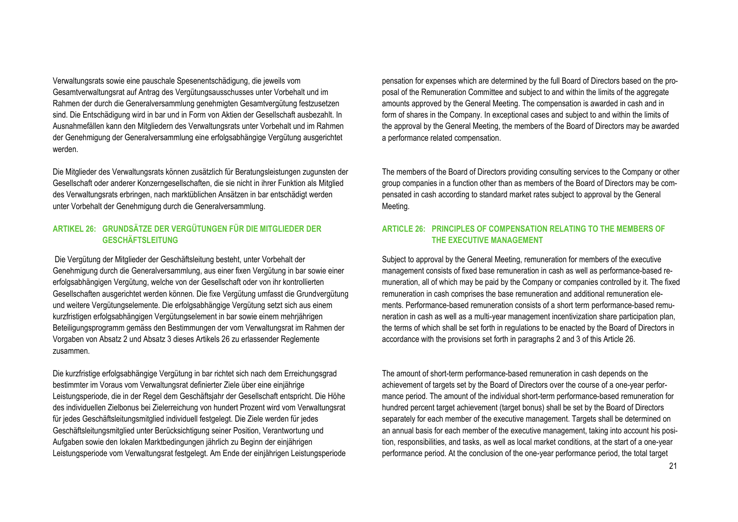Verwaltungsrats sowie eine pauschale Spesenentschädigung, die jeweils vom Gesamtverwaltungsrat auf Antrag des Vergütungsausschusses unter Vorbehalt und im Rahmen der durch die Generalversammlung genehmigten Gesamtvergütung festzusetzen sind. Die Entschädigung wird in bar und in Form von Aktien der Gesellschaft ausbezahlt. In Ausnahmefällen kann den Mitgliedern des Verwaltungsrats unter Vorbehalt und im Rahmen der Genehmigung der Generalversammlung eine erfolgsabhängige Vergütung ausgerichtet werden.

Die Mitglieder des Verwaltungsrats können zusätzlich für Beratungsleistungen zugunsten der Gesellschaft oder anderer Konzerngesellschaften, die sie nicht in ihrer Funktion als Mitglied des Verwaltungsrats erbringen, nach marktüblichen Ansätzen in bar entschädigt werden unter Vorbehalt der Genehmigung durch die Generalversammlung.

#### **ARTIKEL 26: GRUNDSÄTZE DER VERGÜTUNGEN FÜR DIE MITGLIEDER DER GESCHÄFTSLEITUNG**

Die Vergütung der Mitglieder der Geschäftsleitung besteht, unter Vorbehalt der Genehmigung durch die Generalversammlung, aus einer fixen Vergütung in bar sowie einer erfolgsabhängigen Vergütung, welche von der Gesellschaft oder von ihr kontrollierten Gesellschaften ausgerichtet werden können. Die fixe Vergütung umfasst die Grundvergütung und weitere Vergütungselemente. Die erfolgsabhängige Vergütung setzt sich aus einem kurzfristigen erfolgsabhängigen Vergütungselement in bar sowie einem mehrjährigen Beteiligungsprogramm gemäss den Bestimmungen der vom Verwaltungsrat im Rahmen der Vorgaben von Absatz 2 und Absatz 3 dieses Artikels 26 zu erlassender Reglemente zusammen.

Die kurzfristige erfolgsabhängige Vergütung in bar richtet sich nach dem Erreichungsgrad bestimmter im Voraus vom Verwaltungsrat definierter Ziele über eine einjährige Leistungsperiode, die in der Regel dem Geschäftsjahr der Gesellschaft entspricht. Die Höhe des individuellen Zielbonus bei Zielerreichung von hundert Prozent wird vom Verwaltungsrat für jedes Geschäftsleitungsmitglied individuell festgelegt. Die Ziele werden für jedes Geschäftsleitungsmitglied unter Berücksichtigung seiner Position, Verantwortung und Aufgaben sowie den lokalen Marktbedingungen jährlich zu Beginn der einjährigen Leistungsperiode vom Verwaltungsrat festgelegt. Am Ende der einjährigen Leistungsperiode

pensation for expenses which are determined by the full Board of Directors based on the proposal of the Remuneration Committee and subject to and within the limits of the aggregate amounts approved by the General Meeting. The compensation is awarded in cash and in form of shares in the Company. In exceptional cases and subject to and within the limits of the approval by the General Meeting, the members of the Board of Directors may be awarded a performance related compensation.

The members of the Board of Directors providing consulting services to the Company or other group companies in a function other than as members of the Board of Directors may be compensated in cash according to standard market rates subject to approval by the General Meeting.

#### **ARTICLE 26: PRINCIPLES OF COMPENSATION RELATING TO THE MEMBERS OF THE EXECUTIVE MANAGEMENT**

Subject to approval by the General Meeting, remuneration for members of the executive management consists of fixed base remuneration in cash as well as performance-based remuneration, all of which may be paid by the Company or companies controlled by it. The fixed remuneration in cash comprises the base remuneration and additional remuneration elements. Performance-based remuneration consists of a short term performance-based remuneration in cash as well as a multi-year management incentivization share participation plan, the terms of which shall be set forth in regulations to be enacted by the Board of Directors in accordance with the provisions set forth in paragraphs 2 and 3 of this Article 26.

The amount of short-term performance-based remuneration in cash depends on the achievement of targets set by the Board of Directors over the course of a one-year performance period. The amount of the individual short-term performance-based remuneration for hundred percent target achievement (target bonus) shall be set by the Board of Directors separately for each member of the executive management. Targets shall be determined on an annual basis for each member of the executive management, taking into account his position, responsibilities, and tasks, as well as local market conditions, at the start of a one-year performance period. At the conclusion of the one-year performance period, the total target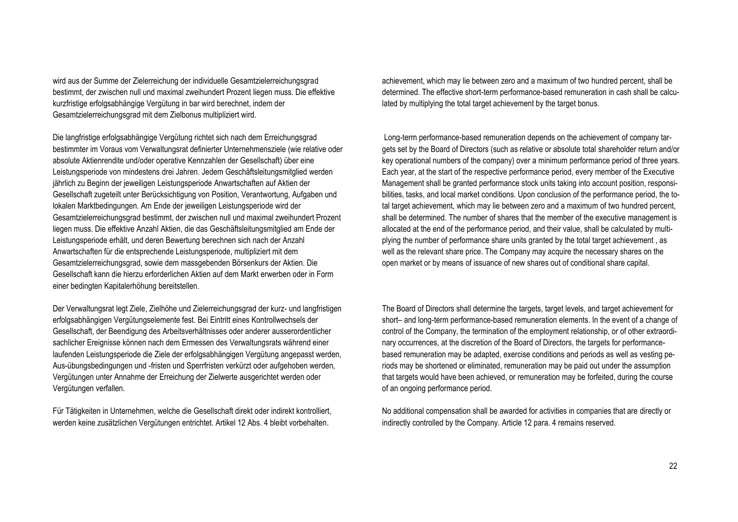wird aus der Summe der Zielerreichung der individuelle Gesamtzielerreichungsgrad bestimmt, der zwischen null und maximal zweihundert Prozent liegen muss. Die effektive kurzfristige erfolgsabhängige Vergütung in bar wird berechnet, indem der Gesamtzielerreichungsgrad mit dem Zielbonus multipliziert wird.

Die langfristige erfolgsabhängige Vergütung richtet sich nach dem Erreichungsgrad bestimmter im Voraus vom Verwaltungsrat definierter Unternehmensziele (wie relative oder absolute Aktienrendite und/oder operative Kennzahlen der Gesellschaft) über eine Leistungsperiode von mindestens drei Jahren. Jedem Geschäftsleitungsmitglied werden jährlich zu Beginn der jeweiligen Leistungsperiode Anwartschaften auf Aktien der Gesellschaft zugeteilt unter Berücksichtigung von Position, Verantwortung, Aufgaben und lokalen Marktbedingungen. Am Ende der jeweiligen Leistungsperiode wird der Gesamtzielerreichungsgrad bestimmt, der zwischen null und maximal zweihundert Prozent liegen muss. Die effektive Anzahl Aktien, die das Geschäftsleitungsmitglied am Ende der Leistungsperiode erhält, und deren Bewertung berechnen sich nach der Anzahl Anwartschaften für die entsprechende Leistungsperiode, multipliziert mit dem Gesamtzielerreichungsgrad, sowie dem massgebenden Börsenkurs der Aktien. Die Gesellschaft kann die hierzu erforderlichen Aktien auf dem Markt erwerben oder in Form einer bedingten Kapitalerhöhung bereitstellen.

Der Verwaltungsrat legt Ziele, Zielhöhe und Zielerreichungsgrad der kurz- und langfristigen erfolgsabhängigen Vergütungselemente fest. Bei Eintritt eines Kontrollwechsels der Gesellschaft, der Beendigung des Arbeitsverhältnisses oder anderer ausserordentlicher sachlicher Ereignisse können nach dem Ermessen des Verwaltungsrats während einer laufenden Leistungsperiode die Ziele der erfolgsabhängigen Vergütung angepasst werden, Aus-übungsbedingungen und -fristen und Sperrfristen verkürzt oder aufgehoben werden, Vergütungen unter Annahme der Erreichung der Zielwerte ausgerichtet werden oder Vergütungen verfallen.

Für Tätigkeiten in Unternehmen, welche die Gesellschaft direkt oder indirekt kontrolliert, werden keine zusätzlichen Vergütungen entrichtet. Artikel 12 Abs. 4 bleibt vorbehalten.

achievement, which may lie between zero and a maximum of two hundred percent, shall be determined. The effective short-term performance-based remuneration in cash shall be calculated by multiplying the total target achievement by the target bonus.

Long-term performance-based remuneration depends on the achievement of company targets set by the Board of Directors (such as relative or absolute total shareholder return and/or key operational numbers of the company) over a minimum performance period of three years. Each year, at the start of the respective performance period, every member of the Executive Management shall be granted performance stock units taking into account position, responsibilities, tasks, and local market conditions. Upon conclusion of the performance period, the total target achievement, which may lie between zero and a maximum of two hundred percent, shall be determined. The number of shares that the member of the executive management is allocated at the end of the performance period, and their value, shall be calculated by multiplying the number of performance share units granted by the total target achievement , as well as the relevant share price. The Company may acquire the necessary shares on the open market or by means of issuance of new shares out of conditional share capital.

The Board of Directors shall determine the targets, target levels, and target achievement for short– and long-term performance-based remuneration elements. In the event of a change of control of the Company, the termination of the employment relationship, or of other extraordinary occurrences, at the discretion of the Board of Directors, the targets for performancebased remuneration may be adapted, exercise conditions and periods as well as vesting periods may be shortened or eliminated, remuneration may be paid out under the assumption that targets would have been achieved, or remuneration may be forfeited, during the course of an ongoing performance period.

No additional compensation shall be awarded for activities in companies that are directly or indirectly controlled by the Company. Article 12 para. 4 remains reserved.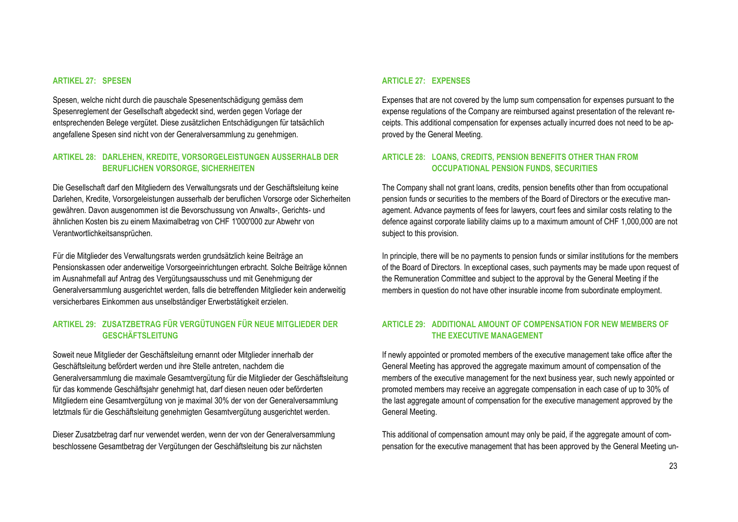#### **ARTIKEL 27: SPESEN**

Spesen, welche nicht durch die pauschale Spesenentschädigung gemäss dem Spesenreglement der Gesellschaft abgedeckt sind, werden gegen Vorlage der entsprechenden Belege vergütet. Diese zusätzlichen Entschädigungen für tatsächlich angefallene Spesen sind nicht von der Generalversammlung zu genehmigen.

#### **ARTIKEL 28: DARLEHEN, KREDITE, VORSORGELEISTUNGEN AUSSERHALB DER BERUFLICHEN VORSORGE, SICHERHEITEN**

Die Gesellschaft darf den Mitgliedern des Verwaltungsrats und der Geschäftsleitung keine Darlehen, Kredite, Vorsorgeleistungen ausserhalb der beruflichen Vorsorge oder Sicherheiten gewähren. Davon ausgenommen ist die Bevorschussung von Anwalts-, Gerichts- und ähnlichen Kosten bis zu einem Maximalbetrag von CHF 1'000'000 zur Abwehr von Verantwortlichkeitsansprüchen.

Für die Mitglieder des Verwaltungsrats werden grundsätzlich keine Beiträge an Pensionskassen oder anderweitige Vorsorgeeinrichtungen erbracht. Solche Beiträge können im Ausnahmefall auf Antrag des Vergütungsausschuss und mit Genehmigung der Generalversammlung ausgerichtet werden, falls die betreffenden Mitglieder kein anderweitig versicherbares Einkommen aus unselbständiger Erwerbstätigkeit erzielen.

### **ARTIKEL 29: ZUSATZBETRAG FÜR VERGÜTUNGEN FÜR NEUE MITGLIEDER DER GESCHÄFTSLEITUNG**

Soweit neue Mitglieder der Geschäftsleitung ernannt oder Mitglieder innerhalb der Geschäftsleitung befördert werden und ihre Stelle antreten, nachdem die Generalversammlung die maximale Gesamtvergütung für die Mitglieder der Geschäftsleitung für das kommende Geschäftsjahr genehmigt hat, darf diesen neuen oder beförderten Mitgliedern eine Gesamtvergütung von je maximal 30% der von der Generalversammlung letztmals für die Geschäftsleitung genehmigten Gesamtvergütung ausgerichtet werden.

Dieser Zusatzbetrag darf nur verwendet werden, wenn der von der Generalversammlung beschlossene Gesamtbetrag der Vergütungen der Geschäftsleitung bis zur nächsten

#### **ARTICLE 27: EXPENSES**

Expenses that are not covered by the lump sum compensation for expenses pursuant to the expense regulations of the Company are reimbursed against presentation of the relevant receipts. This additional compensation for expenses actually incurred does not need to be approved by the General Meeting.

#### **ARTICLE 28: LOANS, CREDITS, PENSION BENEFITS OTHER THAN FROM OCCUPATIONAL PENSION FUNDS, SECURITIES**

The Company shall not grant loans, credits, pension benefits other than from occupational pension funds or securities to the members of the Board of Directors or the executive management. Advance payments of fees for lawyers, court fees and similar costs relating to the defence against corporate liability claims up to a maximum amount of CHF 1,000,000 are not subject to this provision.

In principle, there will be no payments to pension funds or similar institutions for the members of the Board of Directors. In exceptional cases, such payments may be made upon request of the Remuneration Committee and subject to the approval by the General Meeting if the members in question do not have other insurable income from subordinate employment.

#### **ARTICLE 29: ADDITIONAL AMOUNT OF COMPENSATION FOR NEW MEMBERS OF THE EXECUTIVE MANAGEMENT**

If newly appointed or promoted members of the executive management take office after the General Meeting has approved the aggregate maximum amount of compensation of the members of the executive management for the next business year, such newly appointed or promoted members may receive an aggregate compensation in each case of up to 30% of the last aggregate amount of compensation for the executive management approved by the General Meeting.

This additional of compensation amount may only be paid, if the aggregate amount of compensation for the executive management that has been approved by the General Meeting un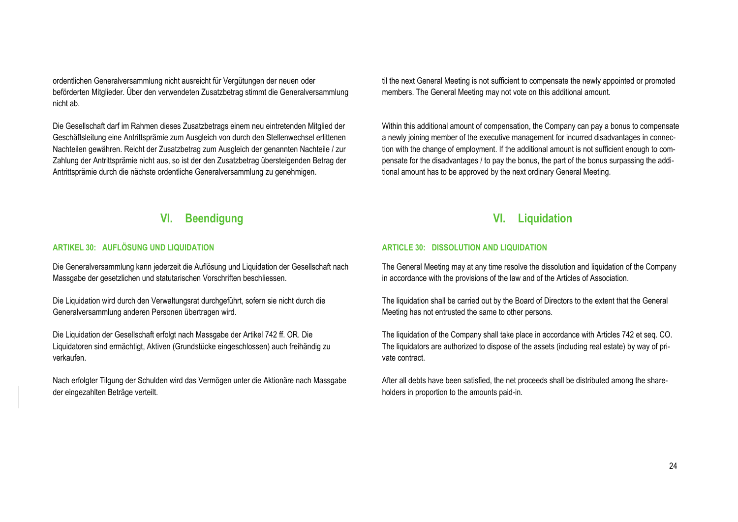ordentlichen Generalversammlung nicht ausreicht für Vergütungen der neuen oder beförderten Mitglieder. Über den verwendeten Zusatzbetrag stimmt die Generalversammlung nicht ab.

Die Gesellschaft darf im Rahmen dieses Zusatzbetrags einem neu eintretenden Mitglied der Geschäftsleitung eine Antrittsprämie zum Ausgleich von durch den Stellenwechsel erlittenen Nachteilen gewähren. Reicht der Zusatzbetrag zum Ausgleich der genannten Nachteile / zur Zahlung der Antrittsprämie nicht aus, so ist der den Zusatzbetrag übersteigenden Betrag der Antrittsprämie durch die nächste ordentliche Generalversammlung zu genehmigen.

#### til the next General Meeting is not sufficient to compensate the newly appointed or promoted members. The General Meeting may not vote on this additional amount.

Within this additional amount of compensation, the Company can pay a bonus to compensate a newly joining member of the executive management for incurred disadvantages in connection with the change of employment. If the additional amount is not sufficient enough to compensate for the disadvantages / to pay the bonus, the part of the bonus surpassing the additional amount has to be approved by the next ordinary General Meeting.

### **VI. Beendigung**

#### **ARTIKEL 30: AUFLÖSUNG UND LIQUIDATION**

Die Generalversammlung kann jederzeit die Auflösung und Liquidation der Gesellschaft nach Massgabe der gesetzlichen und statutarischen Vorschriften beschliessen.

Die Liquidation wird durch den Verwaltungsrat durchgeführt, sofern sie nicht durch die Generalversammlung anderen Personen übertragen wird.

Die Liquidation der Gesellschaft erfolgt nach Massgabe der Artikel 742 ff. OR. Die Liquidatoren sind ermächtigt, Aktiven (Grundstücke eingeschlossen) auch freihändig zu verkaufen.

Nach erfolgter Tilgung der Schulden wird das Vermögen unter die Aktionäre nach Massgabe der eingezahlten Beträge verteilt.

### **VI. Liquidation**

#### **ARTICLE 30: DISSOLUTION AND LIQUIDATION**

The General Meeting may at any time resolve the dissolution and liquidation of the Company in accordance with the provisions of the law and of the Articles of Association.

The liquidation shall be carried out by the Board of Directors to the extent that the General Meeting has not entrusted the same to other persons.

The liquidation of the Company shall take place in accordance with Articles 742 et seq. CO. The liquidators are authorized to dispose of the assets (including real estate) by way of private contract.

After all debts have been satisfied, the net proceeds shall be distributed among the shareholders in proportion to the amounts paid-in.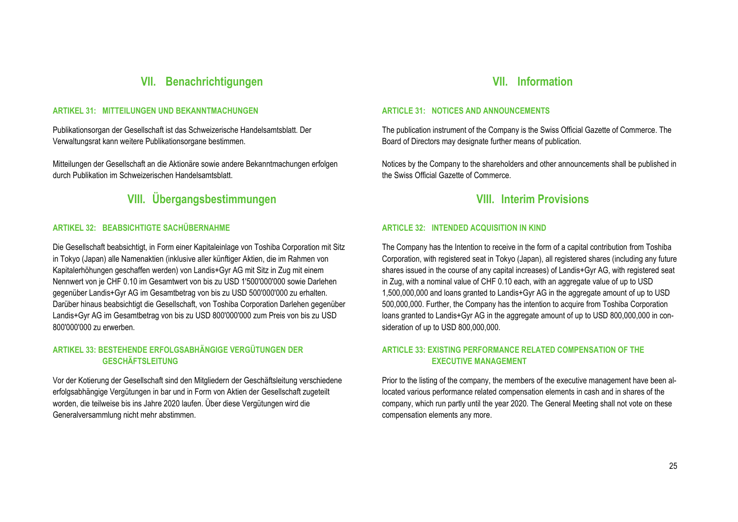### **VII. Benachrichtigungen**

#### **ARTIKEL 31: MITTEILUNGEN UND BEKANNTMACHUNGEN**

Publikationsorgan der Gesellschaft ist das Schweizerische Handelsamtsblatt. Der Verwaltungsrat kann weitere Publikationsorgane bestimmen.

Mitteilungen der Gesellschaft an die Aktionäre sowie andere Bekanntmachungen erfolgen durch Publikation im Schweizerischen Handelsamtsblatt.

## **VIII. Übergangsbestimmungen VIII. Interim Provisions**

#### **ARTIKEL 32: BEABSICHTIGTE SACHÜBERNAHME**

Die Gesellschaft beabsichtigt, in Form einer Kapitaleinlage von Toshiba Corporation mit Sitz in Tokyo (Japan) alle Namenaktien (inklusive aller künftiger Aktien, die im Rahmen von Kapitalerhöhungen geschaffen werden) von Landis+Gyr AG mit Sitz in Zug mit einem Nennwert von je CHF 0.10 im Gesamtwert von bis zu USD 1'500'000'000 sowie Darlehen gegenüber Landis+Gyr AG im Gesamtbetrag von bis zu USD 500'000'000 zu erhalten. Darüber hinaus beabsichtigt die Gesellschaft, von Toshiba Corporation Darlehen gegenüber Landis+Gyr AG im Gesamtbetrag von bis zu USD 800'000'000 zum Preis von bis zu USD 800'000'000 zu erwerben.

### **ARTIKEL 33: BESTEHENDE ERFOLGSABHÄNGIGE VERGÜTUNGEN DER GESCHÄFTSLEITUNG**

Vor der Kotierung der Gesellschaft sind den Mitgliedern der Geschäftsleitung verschiedene erfolgsabhängige Vergütungen in bar und in Form von Aktien der Gesellschaft zugeteilt worden, die teilweise bis ins Jahre 2020 laufen. Über diese Vergütungen wird die Generalversammlung nicht mehr abstimmen.

### **VII. Information**

#### **ARTICLE 31: NOTICES AND ANNOUNCEMENTS**

The publication instrument of the Company is the Swiss Official Gazette of Commerce. The Board of Directors may designate further means of publication.

Notices by the Company to the shareholders and other announcements shall be published in the Swiss Official Gazette of Commerce.

#### **ARTICLE 32: INTENDED ACQUISITION IN KIND**

The Company has the Intention to receive in the form of a capital contribution from Toshiba Corporation, with registered seat in Tokyo (Japan), all registered shares (including any future shares issued in the course of any capital increases) of Landis+Gyr AG, with registered seat in Zug, with a nominal value of CHF 0.10 each, with an aggregate value of up to USD 1,500,000,000 and loans granted to Landis+Gyr AG in the aggregate amount of up to USD 500,000,000. Further, the Company has the intention to acquire from Toshiba Corporation loans granted to Landis+Gyr AG in the aggregate amount of up to USD 800,000,000 in consideration of up to USD 800,000,000.

#### **ARTICLE 33: EXISTING PERFORMANCE RELATED COMPENSATION OF THE EXECUTIVE MANAGEMENT**

Prior to the listing of the company, the members of the executive management have been allocated various performance related compensation elements in cash and in shares of the company, which run partly until the year 2020. The General Meeting shall not vote on these compensation elements any more.